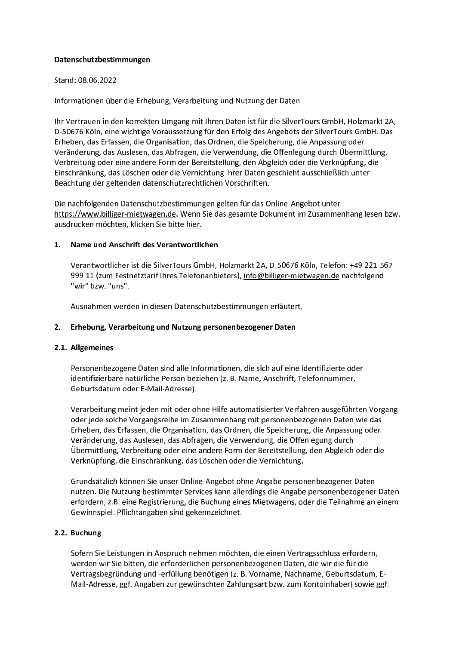## Datenschutzbestimmungen

## Stand: 08.06.2022

Informationen über die Erhebung, Verarbeitung und Nutzung der Daten

Ihr Vertrauen in den korrekten Umgang mit Ihren Daten ist für die SilverTours GmbH, Holzmarkt 2A, D-50676 Köln, eine wichtige Voraussetzung für den Erfolg des Angebots der SilverTours GmbH. Das Erheben, das Erfassen, die Organisation, das Ordnen, die Speicherung, die Anpassung oder Veränderung, das Auslesen, das Abfragen, die Verwendung, die Offenlegung durch Übermittlung, Verbreitung oder eine andere Form der Bereitstellung, den Abgleich oder die Verknüpfung, die Einschränkung, das Löschen oder die Vernichtung Ihrer Daten geschieht ausschließlich unter Beachtung der geltenden datenschutzrechtlichen Vorschriften.

Die nachfolgenden Datenschutzbestimmungen gelten für das Online-Angebot unter https://www.billiger-mietwagen.de. Wenn Sie das gesamte Dokument im Zusammenhang lesen bzw. ausdrucken möchten, klicken Sie bitte hier.

#### Name und Anschrift des Verantwortlichen  $1.$

Verantwortlicher ist die SilverTours GmbH, Holzmarkt 2A, D-50676 Köln, Telefon: +49 221-567 999 11 (zum Festnetztarif Ihres Telefonanbieters), info@billiger-mietwagen.de nachfolgend "wir" bzw. "uns".

Ausnahmen werden in diesen Datenschutzbestimmungen erläutert.

## 2. Erhebung, Verarbeitung und Nutzung personenbezogener Daten

## 2.1. Allgemeines

Personenbezogene Daten sind alle Informationen, die sich auf eine identifizierte oder identifizierbare natürliche Person beziehen (z. B. Name, Anschrift, Telefonnummer, Geburtsdatum oder E-Mail-Adresse).

Verarbeitung meint jeden mit oder ohne Hilfe automatisierter Verfahren ausgeführten Vorgang oder jede solche Vorgangsreihe im Zusammenhang mit personenbezogenen Daten wie das Erheben, das Erfassen, die Organisation, das Ordnen, die Speicherung, die Anpassung oder Veränderung, das Auslesen, das Abfragen, die Verwendung, die Offenlegung durch Übermittlung, Verbreitung oder eine andere Form der Bereitstellung, den Abgleich oder die Verknüpfung, die Einschränkung, das Löschen oder die Vernichtung.

Grundsätzlich können Sie unser Online-Angebot ohne Angabe personenbezogener Daten nutzen. Die Nutzung bestimmter Services kann allerdings die Angabe personenbezogener Daten erfordern, z.B. eine Registrierung, die Buchung eines Mietwagens, oder die Teilnahme an einem Gewinnspiel. Pflichtangaben sind gekennzeichnet.

## 2.2. Buchung

Sofern Sie Leistungen in Anspruch nehmen möchten, die einen Vertragsschluss erfordern, werden wir Sie bitten, die erforderlichen personenbezogenen Daten, die wir die für die Vertragsbegründung und -erfüllung benötigen (z. B. Vorname, Nachname, Geburtsdatum, E-Mail-Adresse, ggf. Angaben zur gewünschten Zahlungsart bzw. zum Kontoinhaber) sowie ggf.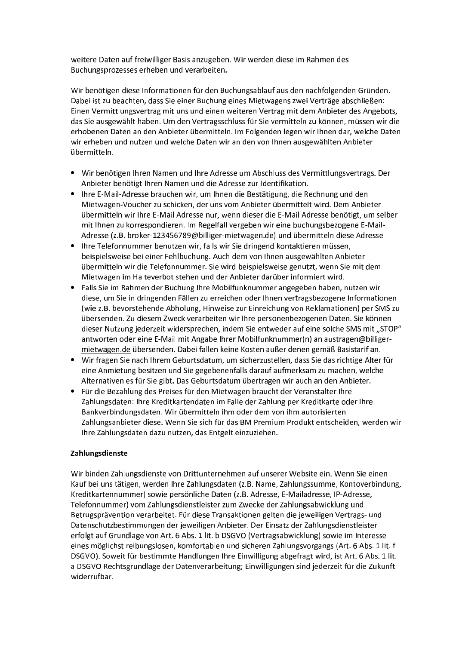weitere Daten auf freiwilliger Basis anzugeben. Wir werden diese im Rahmen des Buchungsprozesses erheben und verarbeiten.

Wir benötigen diese Informationen für den Buchungsablauf aus den nachfolgenden Gründen. Dabei ist zu beachten, dass Sie einer Buchung eines Mietwagens zwei Verträge abschließen: Einen Vermittlungsvertrag mit uns und einen weiteren Vertrag mit dem Anbieter des Angebots, das Sie ausgewählt haben. Um den Vertragsschluss für Sie vermitteln zu können, müssen wir die erhobenen Daten an den Anbieter übermitteln. Im Folgenden legen wir Ihnen dar, welche Daten wir erheben und nutzen und welche Daten wir an den von Ihnen ausgewählten Anbieter übermitteln.

- Wir benötigen Ihren Namen und Ihre Adresse um Abschluss des Vermittlungsvertrags. Der Anbieter benötigt Ihren Namen und die Adresse zur Identifikation.
- Ihre E-Mail-Adresse brauchen wir, um Ihnen die Bestätigung, die Rechnung und den Mietwagen-Voucher zu schicken, der uns vom Anbieter übermittelt wird. Dem Anbieter übermitteln wir Ihre E-Mail Adresse nur, wenn dieser die E-Mail Adresse benötigt, um selber mit Ihnen zu korrespondieren. Im Regelfall vergeben wir eine buchungsbezogene E-Mail-Adresse (z.B. broker-123456789@billiger-mietwagen.de) und übermitteln diese Adresse
- Ihre Telefonnummer benutzen wir, falls wir Sie dringend kontaktieren müssen, beispielsweise bei einer Fehlbuchung. Auch dem von Ihnen ausgewählten Anbieter übermitteln wir die Telefonnummer. Sie wird beispielsweise genutzt, wenn Sie mit dem Mietwagen im Halteverbot stehen und der Anbieter darüber informiert wird.
- Falls Sie im Rahmen der Buchung Ihre Mobilfunknummer angegeben haben, nutzen wir diese, um Sie in dringenden Fällen zu erreichen oder Ihnen vertragsbezogene Informationen (wie z.B. bevorstehende Abholung, Hinweise zur Einreichung von Reklamationen) per SMS zu übersenden. Zu diesem Zweck verarbeiten wir Ihre personenbezogenen Daten. Sie können dieser Nutzung jederzeit widersprechen, indem Sie entweder auf eine solche SMS mit "STOP" antworten oder eine E-Mail mit Angabe Ihrer Mobilfunknummer(n) an austragen@billigermietwagen.de übersenden. Dabei fallen keine Kosten außer denen gemäß Basistarif an.
- Wir fragen Sie nach Ihrem Geburtsdatum, um sicherzustellen, dass Sie das richtige Alter für eine Anmietung besitzen und Sie gegebenenfalls darauf aufmerksam zu machen, welche Alternativen es für Sie gibt. Das Geburtsdatum übertragen wir auch an den Anbieter.
- Für die Bezahlung des Preises für den Mietwagen braucht der Veranstalter Ihre Zahlungsdaten: Ihre Kreditkartendaten im Falle der Zahlung per Kreditkarte oder Ihre Bankverbindungsdaten. Wir übermitteln ihm oder dem von ihm autorisierten Zahlungsanbieter diese. Wenn Sie sich für das BM Premium Produkt entscheiden, werden wir Ihre Zahlungsdaten dazu nutzen, das Entgelt einzuziehen.

# Zahlungsdienste

Wir binden Zahlungsdienste von Drittunternehmen auf unserer Website ein. Wenn Sie einen Kauf bei uns tätigen, werden Ihre Zahlungsdaten (z.B. Name, Zahlungssumme, Kontoverbindung, Kreditkartennummer) sowie persönliche Daten (z.B. Adresse, E-Mailadresse, IP-Adresse, Telefonnummer) vom Zahlungsdienstleister zum Zwecke der Zahlungsabwicklung und Betrugsprävention verarbeitet. Für diese Transaktionen gelten die jeweiligen Vertrags- und Datenschutzbestimmungen der jeweiligen Anbieter. Der Einsatz der Zahlungsdienstleister erfolgt auf Grundlage von Art. 6 Abs. 1 lit. b DSGVO (Vertragsabwicklung) sowie im Interesse eines möglichst reibungslosen, komfortablen und sicheren Zahlungsvorgangs (Art. 6 Abs. 1 lit. f DSGVO). Soweit für bestimmte Handlungen Ihre Einwilligung abgefragt wird, ist Art. 6 Abs. 1 lit. a DSGVO Rechtsgrundlage der Datenverarbeitung; Einwilligungen sind jederzeit für die Zukunft widerrufbar.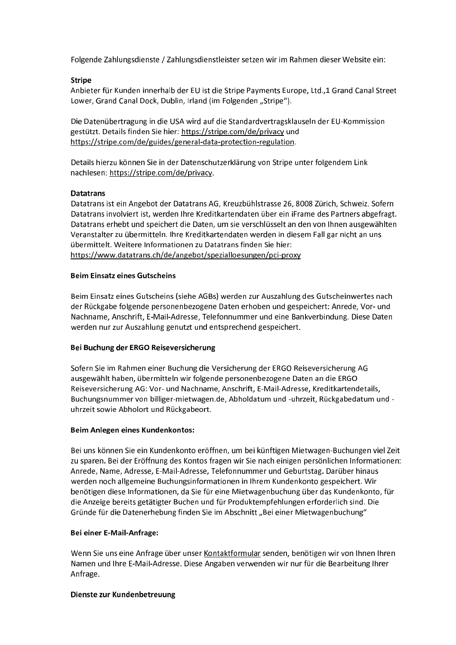Folgende Zahlungsdienste / Zahlungsdienstleister setzen wir im Rahmen dieser Website ein:

# **Stripe**

Anbieter für Kunden innerhalb der EU ist die Stripe Payments Europe, Ltd.,1 Grand Canal Street Lower, Grand Canal Dock, Dublin, Irland (im Folgenden "Stripe").

Die Datenübertragung in die USA wird auf die Standardvertragsklauseln der EU-Kommission gestützt. Details finden Sie hier: https://stripe.com/de/privacy und https://stripe.com/de/guides/general-data-protection-regulation.

Details hierzu können Sie in der Datenschutzerklärung von Stripe unter folgendem Link nachlesen: https://stripe.com/de/privacy.

## **Datatrans**

Datatrans ist ein Angebot der Datatrans AG, Kreuzbühlstrasse 26, 8008 Zürich, Schweiz. Sofern Datatrans involviert ist, werden Ihre Kreditkartendaten über ein iFrame des Partners abgefragt. Datatrans erhebt und speichert die Daten, um sie verschlüsselt an den von Ihnen ausgewählten Veranstalter zu übermitteln. Ihre Kreditkartendaten werden in diesem Fall gar nicht an uns übermittelt. Weitere Informationen zu Datatrans finden Sie hier: https://www.datatrans.ch/de/angebot/spezialloesungen/pci-proxy

# **Beim Einsatz eines Gutscheins**

Beim Einsatz eines Gutscheins (siehe AGBs) werden zur Auszahlung des Gutscheinwertes nach der Rückgabe folgende personenbezogene Daten erhoben und gespeichert: Anrede, Vor- und Nachname, Anschrift, E-Mail-Adresse, Telefonnummer und eine Bankverbindung. Diese Daten werden nur zur Auszahlung genutzt und entsprechend gespeichert.

## Bei Buchung der ERGO Reiseversicherung

Sofern Sie im Rahmen einer Buchung die Versicherung der ERGO Reiseversicherung AG ausgewählt haben, übermitteln wir folgende personenbezogene Daten an die ERGO Reiseversicherung AG: Vor- und Nachname, Anschrift, E-Mail-Adresse, Kreditkartendetails, Buchungsnummer von billiger-mietwagen.de, Abholdatum und -uhrzeit, Rückgabedatum und uhrzeit sowie Abholort und Rückgabeort.

## **Beim Anlegen eines Kundenkontos:**

Bei uns können Sie ein Kundenkonto eröffnen, um bei künftigen Mietwagen-Buchungen viel Zeit zu sparen. Bei der Eröffnung des Kontos fragen wir Sie nach einigen persönlichen Informationen: Anrede, Name, Adresse, E-Mail-Adresse, Telefonnummer und Geburtstag. Darüber hinaus werden noch allgemeine Buchungsinformationen in Ihrem Kundenkonto gespeichert. Wir benötigen diese Informationen, da Sie für eine Mietwagenbuchung über das Kundenkonto, für die Anzeige bereits getätigter Buchen und für Produktempfehlungen erforderlich sind. Die Gründe für die Datenerhebung finden Sie im Abschnitt "Bei einer Mietwagenbuchung"

## Bei einer E-Mail-Anfrage:

Wenn Sie uns eine Anfrage über unser Kontaktformular senden, benötigen wir von Ihnen Ihren Namen und Ihre E-Mail-Adresse. Diese Angaben verwenden wir nur für die Bearbeitung Ihrer Anfrage.

## Dienste zur Kundenbetreuung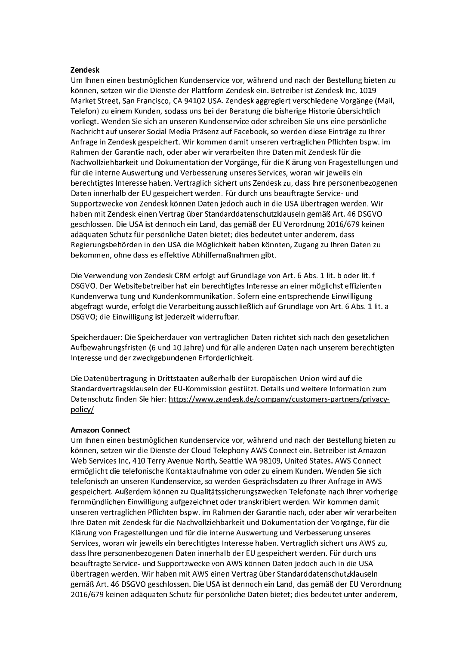#### **Zendesk**

Um Ihnen einen bestmöglichen Kundenservice vor, während und nach der Bestellung bieten zu können, setzen wir die Dienste der Plattform Zendesk ein. Betreiber ist Zendesk Inc, 1019 Market Street, San Francisco, CA 94102 USA. Zendesk aggregiert verschiedene Vorgänge (Mail, Telefon) zu einem Kunden, sodass uns bei der Beratung die bisherige Historie übersichtlich vorliegt. Wenden Sie sich an unseren Kundenservice oder schreiben Sie uns eine persönliche Nachricht auf unserer Social Media Präsenz auf Facebook, so werden diese Einträge zu Ihrer Anfrage in Zendesk gespeichert. Wir kommen damit unseren vertraglichen Pflichten bspw. im Rahmen der Garantie nach, oder aber wir verarbeiten Ihre Daten mit Zendesk für die Nachvollziehbarkeit und Dokumentation der Vorgänge, für die Klärung von Fragestellungen und für die interne Auswertung und Verbesserung unseres Services, woran wir jeweils ein berechtigtes Interesse haben. Vertraglich sichert uns Zendesk zu, dass Ihre personenbezogenen Daten innerhalb der EU gespeichert werden. Für durch uns beauftragte Service- und Supportzwecke von Zendesk können Daten jedoch auch in die USA übertragen werden. Wir haben mit Zendesk einen Vertrag über Standarddatenschutzklauseln gemäß Art. 46 DSGVO geschlossen. Die USA ist dennoch ein Land, das gemäß der EU Verordnung 2016/679 keinen adäquaten Schutz für persönliche Daten bietet; dies bedeutet unter anderem, dass Regierungsbehörden in den USA die Möglichkeit haben könnten, Zugang zu Ihren Daten zu bekommen, ohne dass es effektive Abhilfemaßnahmen gibt.

Die Verwendung von Zendesk CRM erfolgt auf Grundlage von Art. 6 Abs. 1 lit. b oder lit. f DSGVO. Der Websitebetreiber hat ein berechtigtes Interesse an einer möglichst effizienten Kundenverwaltung und Kundenkommunikation. Sofern eine entsprechende Einwilligung abgefragt wurde, erfolgt die Verarbeitung ausschließlich auf Grundlage von Art. 6 Abs. 1 lit. a DSGVO; die Einwilligung ist jederzeit widerrufbar.

Speicherdauer: Die Speicherdauer von vertraglichen Daten richtet sich nach den gesetzlichen Aufbewahrungsfristen (6 und 10 Jahre) und für alle anderen Daten nach unserem berechtigten Interesse und der zweckgebundenen Erforderlichkeit.

Die Datenübertragung in Drittstaaten außerhalb der Europäischen Union wird auf die Standardvertragsklauseln der EU-Kommission gestützt. Details und weitere Information zum Datenschutz finden Sie hier: https://www.zendesk.de/company/customers-partners/privacypolicy/

## **Amazon Connect**

Um Ihnen einen bestmöglichen Kundenservice vor, während und nach der Bestellung bieten zu können, setzen wir die Dienste der Cloud Telephony AWS Connect ein. Betreiber ist Amazon Web Services Inc, 410 Terry Avenue North, Seattle WA 98109, United States. AWS Connect ermöglicht die telefonische Kontaktaufnahme von oder zu einem Kunden. Wenden Sie sich telefonisch an unseren Kundenservice, so werden Gesprächsdaten zu Ihrer Anfrage in AWS gespeichert. Außerdem können zu Qualitätssicherungszwecken Telefonate nach Ihrer vorherige fernmündlichen Einwilligung aufgezeichnet oder transkribiert werden. Wir kommen damit unseren vertraglichen Pflichten bspw. im Rahmen der Garantie nach, oder aber wir verarbeiten Ihre Daten mit Zendesk für die Nachvollziehbarkeit und Dokumentation der Vorgänge, für die Klärung von Fragestellungen und für die interne Auswertung und Verbesserung unseres Services, woran wir jeweils ein berechtigtes Interesse haben. Vertraglich sichert uns AWS zu, dass Ihre personenbezogenen Daten innerhalb der EU gespeichert werden. Für durch uns beauftragte Service- und Supportzwecke von AWS können Daten jedoch auch in die USA übertragen werden. Wir haben mit AWS einen Vertrag über Standarddatenschutzklauseln gemäß Art. 46 DSGVO geschlossen. Die USA ist dennoch ein Land, das gemäß der EU Verordnung 2016/679 keinen adäquaten Schutz für persönliche Daten bietet; dies bedeutet unter anderem,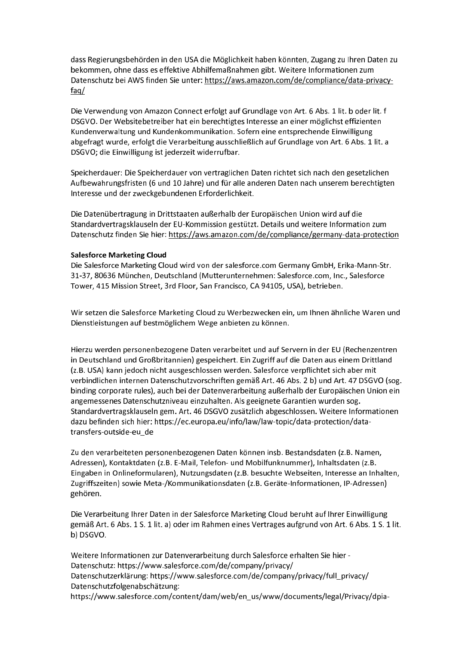dass Regierungsbehörden in den USA die Möglichkeit haben könnten, Zugang zu Ihren Daten zu bekommen, ohne dass es effektive Abhilfemaßnahmen gibt. Weitere Informationen zum Datenschutz bei AWS finden Sie unter: https://aws.amazon.com/de/compliance/data-privacyfaq/

Die Verwendung von Amazon Connect erfolgt auf Grundlage von Art. 6 Abs. 1 lit. b oder lit. f DSGVO. Der Websitebetreiber hat ein berechtigtes Interesse an einer möglichst effizienten Kundenverwaltung und Kundenkommunikation. Sofern eine entsprechende Einwilligung abgefragt wurde, erfolgt die Verarbeitung ausschließlich auf Grundlage von Art. 6 Abs. 1 lit. a DSGVO; die Einwilligung ist jederzeit widerrufbar.

Speicherdauer: Die Speicherdauer von vertraglichen Daten richtet sich nach den gesetzlichen Aufbewahrungsfristen (6 und 10 Jahre) und für alle anderen Daten nach unserem berechtigten Interesse und der zweckgebundenen Erforderlichkeit.

Die Datenübertragung in Drittstaaten außerhalb der Europäischen Union wird auf die Standardvertragsklauseln der EU-Kommission gestützt. Details und weitere Information zum Datenschutz finden Sie hier: https://aws.amazon.com/de/compliance/germany-data-protection

## **Salesforce Marketing Cloud**

Die Salesforce Marketing Cloud wird von der salesforce.com Germany GmbH, Erika-Mann-Str. 31-37, 80636 München, Deutschland (Mutterunternehmen: Salesforce.com, Inc., Salesforce Tower, 415 Mission Street, 3rd Floor, San Francisco, CA 94105, USA), betrieben.

Wir setzen die Salesforce Marketing Cloud zu Werbezwecken ein, um Ihnen ähnliche Waren und Dienstleistungen auf bestmöglichem Wege anbieten zu können.

Hierzu werden personenbezogene Daten verarbeitet und auf Servern in der EU (Rechenzentren in Deutschland und Großbritannien) gespeichert. Ein Zugriff auf die Daten aus einem Drittland (z.B. USA) kann jedoch nicht ausgeschlossen werden. Salesforce verpflichtet sich aber mit verbindlichen internen Datenschutzvorschriften gemäß Art. 46 Abs. 2 b) und Art. 47 DSGVO (sog. binding corporate rules), auch bei der Datenverarbeitung außerhalb der Europäischen Union ein angemessenes Datenschutzniveau einzuhalten. Als geeignete Garantien wurden sog. Standardvertragsklauseln gem. Art. 46 DSGVO zusätzlich abgeschlossen. Weitere Informationen dazu befinden sich hier: https://ec.europa.eu/info/law/law-topic/data-protection/datatransfers-outside-eu de

Zu den verarbeiteten personenbezogenen Daten können insb. Bestandsdaten (z.B. Namen, Adressen), Kontaktdaten (z.B. E-Mail, Telefon- und Mobilfunknummer), Inhaltsdaten (z.B. Eingaben in Onlineformularen), Nutzungsdaten (z.B. besuchte Webseiten, Interesse an Inhalten, Zugriffszeiten) sowie Meta-/Kommunikationsdaten (z.B. Geräte-Informationen, IP-Adressen) gehören.

Die Verarbeitung Ihrer Daten in der Salesforce Marketing Cloud beruht auf Ihrer Einwilligung gemäß Art. 6 Abs. 1 S. 1 lit. a) oder im Rahmen eines Vertrages aufgrund von Art. 6 Abs. 1 S. 1 lit. b) DSGVO.

Weitere Informationen zur Datenverarbeitung durch Salesforce erhalten Sie hier -Datenschutz: https://www.salesforce.com/de/company/privacy/ Datenschutzerklärung: https://www.salesforce.com/de/company/privacy/full\_privacy/ Datenschutzfolgenabschätzung: https://www.salesforce.com/content/dam/web/en\_us/www/documents/legal/Privacy/dpia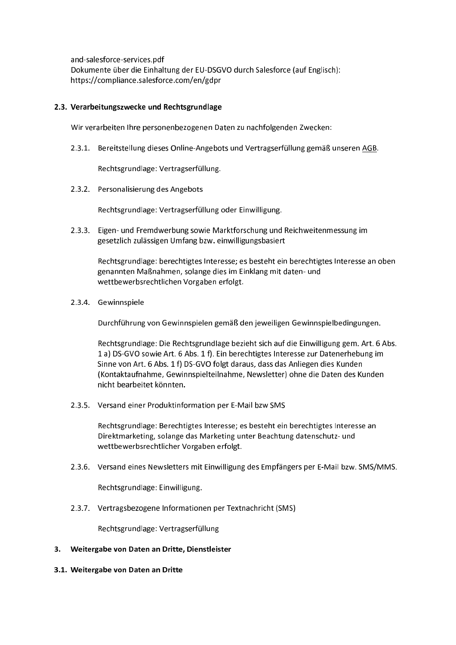and-salesforce-services.pdf Dokumente über die Einhaltung der EU-DSGVO durch Salesforce (auf Englisch): https://compliance.salesforce.com/en/gdpr

## 2.3. Verarbeitungszwecke und Rechtsgrundlage

Wir verarbeiten Ihre personenbezogenen Daten zu nachfolgenden Zwecken:

2.3.1. Bereitstellung dieses Online-Angebots und Vertragserfüllung gemäß unseren AGB.

Rechtsgrundlage: Vertragserfüllung.

2.3.2. Personalisierung des Angebots

Rechtsgrundlage: Vertragserfüllung oder Einwilligung.

2.3.3. Eigen- und Fremdwerbung sowie Marktforschung und Reichweitenmessung im gesetzlich zulässigen Umfang bzw. einwilligungsbasiert

Rechtsgrundlage: berechtigtes Interesse; es besteht ein berechtigtes Interesse an oben genannten Maßnahmen, solange dies im Einklang mit daten- und wettbewerbsrechtlichen Vorgaben erfolgt.

2.3.4. Gewinnspiele

Durchführung von Gewinnspielen gemäß den jeweiligen Gewinnspielbedingungen.

Rechtsgrundlage: Die Rechtsgrundlage bezieht sich auf die Einwilligung gem. Art. 6 Abs. 1 a) DS-GVO sowie Art. 6 Abs. 1 f). Ein berechtigtes Interesse zur Datenerhebung im Sinne von Art. 6 Abs. 1 f) DS-GVO folgt daraus, dass das Anliegen dies Kunden (Kontaktaufnahme, Gewinnspielteilnahme, Newsletter) ohne die Daten des Kunden nicht bearbeitet könnten.

2.3.5. Versand einer Produktinformation per E-Mail bzw SMS

Rechtsgrundlage: Berechtigtes Interesse; es besteht ein berechtigtes Interesse an Direktmarketing, solange das Marketing unter Beachtung datenschutz- und wettbewerbsrechtlicher Vorgaben erfolgt.

2.3.6. Versand eines Newsletters mit Einwilligung des Empfängers per E-Mail bzw. SMS/MMS.

Rechtsgrundlage: Einwilligung.

2.3.7. Vertragsbezogene Informationen per Textnachricht (SMS)

Rechtsgrundlage: Vertragserfüllung

- 3. Weitergabe von Daten an Dritte, Dienstleister
- 3.1. Weitergabe von Daten an Dritte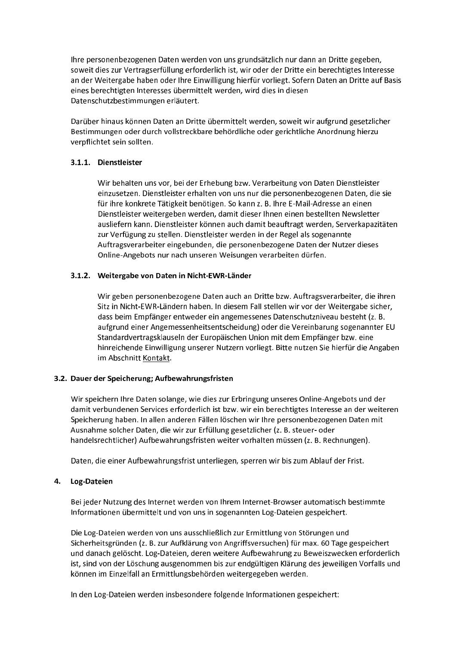Ihre personenbezogenen Daten werden von uns grundsätzlich nur dann an Dritte gegeben, soweit dies zur Vertragserfüllung erforderlich ist, wir oder der Dritte ein berechtigtes Interesse an der Weitergabe haben oder Ihre Einwilligung hierfür vorliegt. Sofern Daten an Dritte auf Basis eines berechtigten Interesses übermittelt werden, wird dies in diesen Datenschutzbestimmungen erläutert.

Darüber hinaus können Daten an Dritte übermittelt werden, soweit wir aufgrund gesetzlicher Bestimmungen oder durch vollstreckbare behördliche oder gerichtliche Anordnung hierzu verpflichtet sein sollten.

# 3.1.1. Dienstleister

Wir behalten uns vor, bei der Erhebung bzw. Verarbeitung von Daten Dienstleister einzusetzen. Dienstleister erhalten von uns nur die personenbezogenen Daten, die sie für ihre konkrete Tätigkeit benötigen. So kann z. B. Ihre E-Mail-Adresse an einen Dienstleister weitergeben werden, damit dieser Ihnen einen bestellten Newsletter ausliefern kann. Dienstleister können auch damit beauftragt werden, Serverkapazitäten zur Verfügung zu stellen. Dienstleister werden in der Regel als sogenannte Auftragsverarbeiter eingebunden, die personenbezogene Daten der Nutzer dieses Online-Angebots nur nach unseren Weisungen verarbeiten dürfen.

# 3.1.2. Weitergabe von Daten in Nicht-EWR-Länder

Wir geben personenbezogene Daten auch an Dritte bzw. Auftragsverarbeiter, die ihren Sitz in Nicht-EWR-Ländern haben. In diesem Fall stellen wir vor der Weitergabe sicher. dass beim Empfänger entweder ein angemessenes Datenschutzniveau besteht (z. B. aufgrund einer Angemessenheitsentscheidung) oder die Vereinbarung sogenannter EU Standardvertragsklauseln der Europäischen Union mit dem Empfänger bzw. eine hinreichende Einwilligung unserer Nutzern vorliegt. Bitte nutzen Sie hierfür die Angaben im Abschnitt Kontakt.

## 3.2. Dauer der Speicherung; Aufbewahrungsfristen

Wir speichern Ihre Daten solange, wie dies zur Erbringung unseres Online-Angebots und der damit verbundenen Services erforderlich ist bzw. wir ein berechtigtes Interesse an der weiteren Speicherung haben. In allen anderen Fällen löschen wir Ihre personenbezogenen Daten mit Ausnahme solcher Daten, die wir zur Erfüllung gesetzlicher (z. B. steuer- oder handelsrechtlicher) Aufbewahrungsfristen weiter vorhalten müssen (z. B. Rechnungen).

Daten, die einer Aufbewahrungsfrist unterliegen, sperren wir bis zum Ablauf der Frist.

# 4. Log-Dateien

Bei jeder Nutzung des Internet werden von Ihrem Internet-Browser automatisch bestimmte Informationen übermittelt und von uns in sogenannten Log-Dateien gespeichert.

Die Log-Dateien werden von uns ausschließlich zur Ermittlung von Störungen und Sicherheitsgründen (z. B. zur Aufklärung von Angriffsversuchen) für max. 60 Tage gespeichert und danach gelöscht. Log-Dateien, deren weitere Aufbewahrung zu Beweiszwecken erforderlich ist, sind von der Löschung ausgenommen bis zur endgültigen Klärung des jeweiligen Vorfalls und können im Einzelfall an Ermittlungsbehörden weitergegeben werden.

In den Log-Dateien werden insbesondere folgende Informationen gespeichert: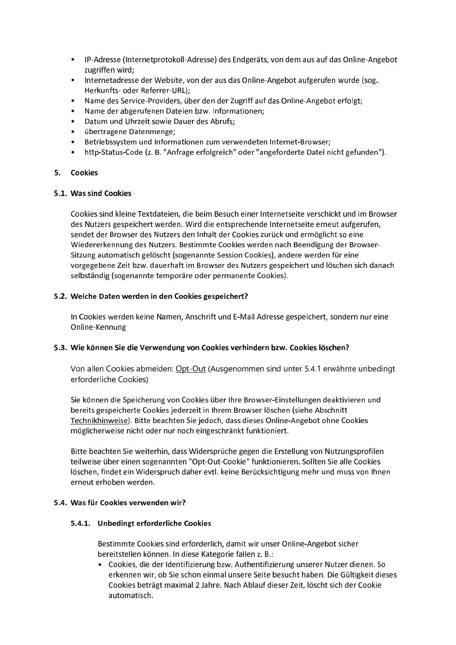- IP-Adresse (Internetprotokoll-Adresse) des Endgeräts, von dem aus auf das Online-Angebot zugriffen wird;
- Internetadresse der Website, von der aus das Online-Angebot aufgerufen wurde (sog. Herkunfts- oder Referrer-URL):
- Name des Service-Providers, über den der Zugriff auf das Online-Angebot erfolgt;
- Name der abgerufenen Dateien bzw. Informationen;
- Datum und Uhrzeit sowie Dauer des Abrufs;
- übertragene Datenmenge;
- Betriebssystem und Informationen zum verwendeten Internet-Browser;
- http-Status-Code (z. B. "Anfrage erfolgreich" oder "angeforderte Datei nicht gefunden").

## 5. Cookies

#### 5.1. Was sind Cookies

Cookies sind kleine Textdateien, die beim Besuch einer Internetseite verschickt und im Browser des Nutzers gespeichert werden. Wird die entsprechende Internetseite erneut aufgerufen, sendet der Browser des Nutzers den Inhalt der Cookies zurück und ermöglicht so eine Wiedererkennung des Nutzers. Bestimmte Cookies werden nach Beendigung der Browser-Sitzung automatisch gelöscht (sogenannte Session Cookies), andere werden für eine vorgegebene Zeit bzw. dauerhaft im Browser des Nutzers gespeichert und löschen sich danach selbständig (sogenannte temporäre oder permanente Cookies).

## 5.2. Welche Daten werden in den Cookies gespeichert?

In Cookies werden keine Namen, Anschrift und E-Mail Adresse gespeichert, sondern nur eine Online-Kennung

## 5.3. Wie können Sie die Verwendung von Cookies verhindern bzw. Cookies löschen?

Von allen Cookies abmelden: Opt-Out (Ausgenommen sind unter 5.4.1 erwähnte unbedingt erforderliche Cookies)

Sie können die Speicherung von Cookies über Ihre Browser-Einstellungen deaktivieren und bereits gespeicherte Cookies jederzeit in Ihrem Browser löschen (siehe Abschnitt Technikhinweise). Bitte beachten Sie jedoch, dass dieses Online-Angebot ohne Cookies möglicherweise nicht oder nur noch eingeschränkt funktioniert.

Bitte beachten Sie weiterhin, dass Widersprüche gegen die Erstellung von Nutzungsprofilen teilweise über einen sogenannten "Opt-Out-Cookie" funktionieren. Sollten Sie alle Cookies löschen, findet ein Widerspruch daher evtl. keine Berücksichtigung mehr und muss von Ihnen erneut erhoben werden.

## 5.4. Was für Cookies verwenden wir?

## 5.4.1. Unbedingt erforderliche Cookies

Bestimmte Cookies sind erforderlich, damit wir unser Online-Angebot sicher bereitstellen können. In diese Kategorie fallen z. B.:

• Cookies, die der Identifizierung bzw. Authentifizierung unserer Nutzer dienen. So erkennen wir, ob Sie schon einmal unsere Seite besucht haben. Die Gültigkeit dieses Cookies beträgt maximal 2 Jahre. Nach Ablauf dieser Zeit, löscht sich der Cookie automatisch.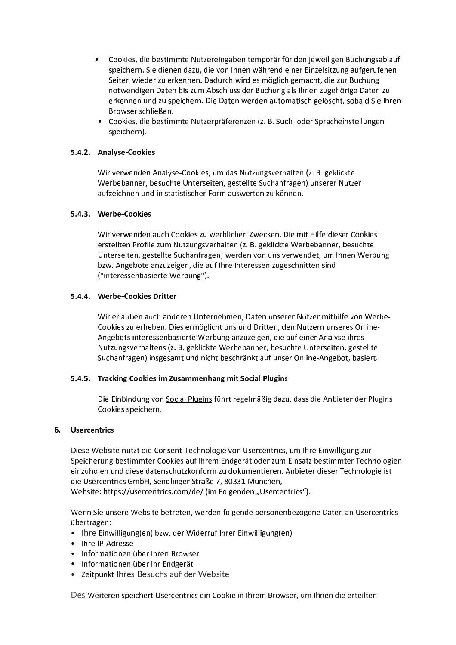- Cookies, die bestimmte Nutzereingaben temporär für den jeweiligen Buchungsablauf speichern. Sie dienen dazu, die von Ihnen während einer Einzelsitzung aufgerufenen Seiten wieder zu erkennen. Dadurch wird es möglich gemacht, die zur Buchung notwendigen Daten bis zum Abschluss der Buchung als Ihnen zugehörige Daten zu erkennen und zu speichern. Die Daten werden automatisch gelöscht, sobald Sie Ihren Browser schließen.
- Cookies, die bestimmte Nutzerpräferenzen (z. B. Such- oder Spracheinstellungen speichern).

# 5.4.2. Analyse-Cookies

Wir verwenden Analyse-Cookies, um das Nutzungsverhalten (z. B. geklickte Werbebanner, besuchte Unterseiten, gestellte Suchanfragen) unserer Nutzer aufzeichnen und in statistischer Form auswerten zu können.

# 5.4.3. Werbe-Cookies

Wir verwenden auch Cookies zu werblichen Zwecken. Die mit Hilfe dieser Cookies erstellten Profile zum Nutzungsverhalten (z. B. geklickte Werbebanner, besuchte Unterseiten, gestellte Suchanfragen) werden von uns verwendet, um Ihnen Werbung bzw. Angebote anzuzeigen, die auf Ihre Interessen zugeschnitten sind ("interessenbasierte Werbung").

# 5.4.4. Werbe-Cookies Dritter

Wir erlauben auch anderen Unternehmen, Daten unserer Nutzer mithilfe von Werbe-Cookies zu erheben. Dies ermöglicht uns und Dritten, den Nutzern unseres Online-Angebots interessenbasierte Werbung anzuzeigen, die auf einer Analyse ihres Nutzungsverhaltens (z. B. geklickte Werbebanner, besuchte Unterseiten, gestellte Suchanfragen) insgesamt und nicht beschränkt auf unser Online-Angebot, basiert.

## 5.4.5. Tracking Cookies im Zusammenhang mit Social Plugins

Die Einbindung von Social Plugins führt regelmäßig dazu, dass die Anbieter der Plugins Cookies speichern.

# 6. Usercentrics

Diese Website nutzt die Consent-Technologie von Usercentrics, um Ihre Einwilligung zur Speicherung bestimmter Cookies auf Ihrem Endgerät oder zum Einsatz bestimmter Technologien einzuholen und diese datenschutzkonform zu dokumentieren. Anbieter dieser Technologie ist die Usercentrics GmbH, Sendlinger Straße 7, 80331 München,

Website: https://usercentrics.com/de/ (im Folgenden "Usercentrics").

Wenn Sie unsere Website betreten, werden folgende personenbezogene Daten an Usercentrics übertragen:

- Ihre Einwilligung(en) bzw. der Widerruf Ihrer Einwilligung(en)
- Ihre IP-Adresse
- Informationen über Ihren Browser
- Informationen über Ihr Endgerät
- Zeitpunkt Ihres Besuchs auf der Website

Des Weiteren speichert Usercentrics ein Cookie in Ihrem Browser, um Ihnen die erteilten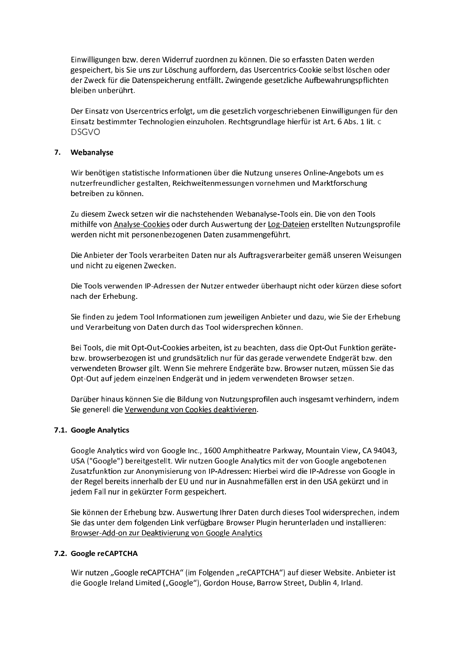Einwilligungen bzw. deren Widerruf zuordnen zu können. Die so erfassten Daten werden gespeichert, bis Sie uns zur Löschung auffordern, das Usercentrics-Cookie selbst löschen oder der Zweck für die Datenspeicherung entfällt. Zwingende gesetzliche Aufbewahrungspflichten bleiben unberührt.

Der Einsatz von Usercentrics erfolgt, um die gesetzlich vorgeschriebenen Einwilligungen für den Einsatz bestimmter Technologien einzuholen. Rechtsgrundlage hierfür ist Art. 6 Abs. 1 lit. c **DSGVO** 

## 7. Webanalyse

Wir benötigen statistische Informationen über die Nutzung unseres Online-Angebots um es nutzerfreundlicher gestalten, Reichweitenmessungen vornehmen und Marktforschung betreiben zu können.

Zu diesem Zweck setzen wir die nachstehenden Webanalyse-Tools ein. Die von den Tools mithilfe von Analyse-Cookies oder durch Auswertung der Log-Dateien erstellten Nutzungsprofile werden nicht mit personenbezogenen Daten zusammengeführt.

Die Anbieter der Tools verarbeiten Daten nur als Auftragsverarbeiter gemäß unseren Weisungen und nicht zu eigenen Zwecken.

Die Tools verwenden IP-Adressen der Nutzer entweder überhaupt nicht oder kürzen diese sofort nach der Erhebung.

Sie finden zu jedem Tool Informationen zum jeweiligen Anbieter und dazu, wie Sie der Erhebung und Verarbeitung von Daten durch das Tool widersprechen können.

Bei Tools, die mit Opt-Out-Cookies arbeiten, ist zu beachten, dass die Opt-Out Funktion gerätebzw. browserbezogen ist und grundsätzlich nur für das gerade verwendete Endgerät bzw. den verwendeten Browser gilt. Wenn Sie mehrere Endgeräte bzw. Browser nutzen, müssen Sie das Opt-Out auf jedem einzelnen Endgerät und in jedem verwendeten Browser setzen.

Darüber hinaus können Sie die Bildung von Nutzungsprofilen auch insgesamt verhindern, indem Sie generell die Verwendung von Cookies deaktivieren.

## 7.1. Google Analytics

Google Analytics wird von Google Inc., 1600 Amphitheatre Parkway, Mountain View, CA 94043, USA ("Google") bereitgestellt. Wir nutzen Google Analytics mit der von Google angebotenen Zusatzfunktion zur Anonymisierung von IP-Adressen: Hierbei wird die IP-Adresse von Google in der Regel bereits innerhalb der EU und nur in Ausnahmefällen erst in den USA gekürzt und in jedem Fall nur in gekürzter Form gespeichert.

Sie können der Erhebung bzw. Auswertung Ihrer Daten durch dieses Tool widersprechen, indem Sie das unter dem folgenden Link verfügbare Browser Plugin herunterladen und installieren: Browser-Add-on zur Deaktivierung von Google Analytics

## 7.2. Google reCAPTCHA

Wir nutzen "Google reCAPTCHA" (im Folgenden "reCAPTCHA") auf dieser Website. Anbieter ist die Google Ireland Limited ("Google"), Gordon House, Barrow Street, Dublin 4, Irland.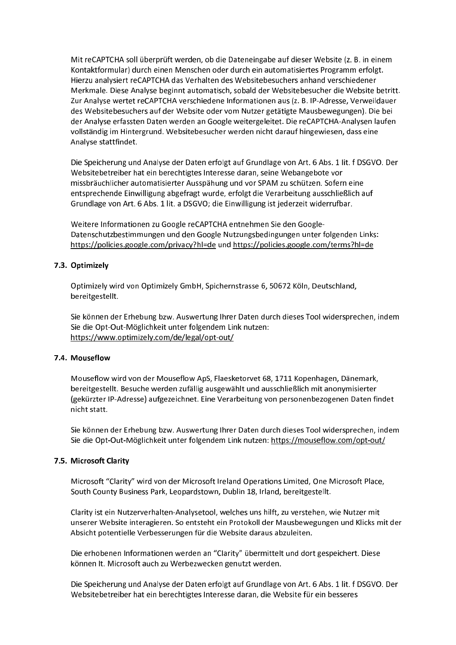Mit reCAPTCHA soll überprüft werden, ob die Dateneingabe auf dieser Website (z. B. in einem Kontaktformular) durch einen Menschen oder durch ein automatisiertes Programm erfolgt. Hierzu analysiert reCAPTCHA das Verhalten des Websitebesuchers anhand verschiedener Merkmale. Diese Analyse beginnt automatisch, sobald der Websitebesucher die Website betritt. Zur Analyse wertet reCAPTCHA verschiedene Informationen aus (z. B. IP-Adresse, Verweildauer des Websitebesuchers auf der Website oder vom Nutzer getätigte Mausbewegungen). Die bei der Analyse erfassten Daten werden an Google weitergeleitet. Die reCAPTCHA-Analysen laufen vollständig im Hintergrund. Websitebesucher werden nicht darauf hingewiesen, dass eine Analyse stattfindet.

Die Speicherung und Analyse der Daten erfolgt auf Grundlage von Art. 6 Abs. 1 lit. f DSGVO. Der Websitebetreiber hat ein berechtigtes Interesse daran, seine Webangebote vor missbräuchlicher automatisierter Ausspähung und vor SPAM zu schützen. Sofern eine entsprechende Einwilligung abgefragt wurde, erfolgt die Verarbeitung ausschließlich auf Grundlage von Art. 6 Abs. 1 lit. a DSGVO; die Einwilligung ist jederzeit widerrufbar.

Weitere Informationen zu Google reCAPTCHA entnehmen Sie den Google-Datenschutzbestimmungen und den Google Nutzungsbedingungen unter folgenden Links: https://policies.google.com/privacy?hl=de und https://policies.google.com/terms?hl=de

# 7.3. Optimizely

Optimizely wird von Optimizely GmbH, Spichernstrasse 6, 50672 Köln, Deutschland, bereitgestellt.

Sie können der Erhebung bzw. Auswertung Ihrer Daten durch dieses Tool widersprechen, indem Sie die Opt-Out-Möglichkeit unter folgendem Link nutzen: https://www.optimizely.com/de/legal/opt-out/

## 7.4. Mouseflow

Mouseflow wird von der Mouseflow ApS, Flaesketorvet 68, 1711 Kopenhagen, Dänemark, bereitgestellt. Besuche werden zufällig ausgewählt und ausschließlich mit anonymisierter (gekürzter IP-Adresse) aufgezeichnet. Eine Verarbeitung von personenbezogenen Daten findet nicht statt

Sie können der Erhebung bzw. Auswertung Ihrer Daten durch dieses Tool widersprechen, indem Sie die Opt-Out-Möglichkeit unter folgendem Link nutzen: https://mouseflow.com/opt-out/

## 7.5. Microsoft Clarity

Microsoft "Clarity" wird von der Microsoft Ireland Operations Limited, One Microsoft Place, South County Business Park, Leopardstown, Dublin 18, Irland, bereitgestellt.

Clarity ist ein Nutzerverhalten-Analysetool, welches uns hilft, zu verstehen, wie Nutzer mit unserer Website interagieren. So entsteht ein Protokoll der Mausbewegungen und Klicks mit der Absicht potentielle Verbesserungen für die Website daraus abzuleiten.

Die erhobenen Informationen werden an "Clarity" übermittelt und dort gespeichert. Diese können It. Microsoft auch zu Werbezwecken genutzt werden.

Die Speicherung und Analyse der Daten erfolgt auf Grundlage von Art. 6 Abs. 1 lit. f DSGVO. Der Websitebetreiber hat ein berechtigtes Interesse daran, die Website für ein besseres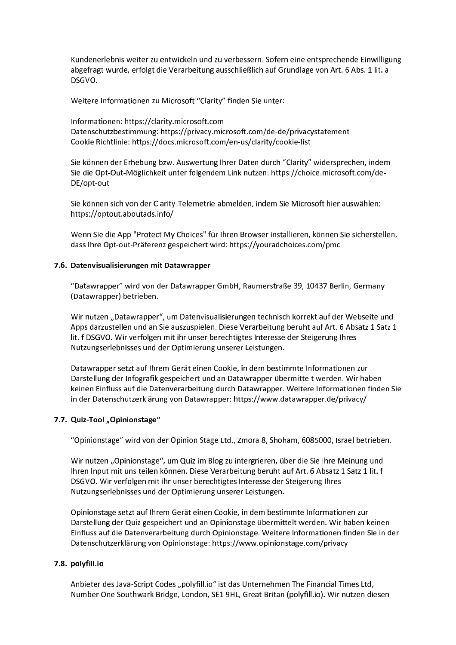Kundenerlebnis weiter zu entwickeln und zu verbessern. Sofern eine entsprechende Einwilligung abgefragt wurde, erfolgt die Verarbeitung ausschließlich auf Grundlage von Art. 6 Abs. 1 lit. a DSGVO.

Weitere Informationen zu Microsoft "Clarity" finden Sie unter:

Informationen: https://clarity.microsoft.com Datenschutzbestimmung: https://privacy.microsoft.com/de-de/privacystatement Cookie Richtlinie: https://docs.microsoft.com/en-us/clarity/cookie-list

Sie können der Erhebung bzw. Auswertung Ihrer Daten durch "Clarity" widersprechen, indem Sie die Opt-Out-Möglichkeit unter folgendem Link nutzen: https://choice.microsoft.com/de-DF/opt-out

Sie können sich von der Clarity-Telemetrie abmelden, indem Sie Microsoft hier auswählen: https://optout.aboutads.info/

Wenn Sie die App "Protect My Choices" für Ihren Browser installieren, können Sie sicherstellen, dass lhre Opt-out-Präferenz gespeichert wird: https://youradchoices.com/pmc

# 7.6. Datenvisualisierungen mit Datawrapper

"Datawrapper" wird von der Datawrapper GmbH, Raumerstraße 39, 10437 Berlin, Germany (Datawrapper) betrieben.

Wir nutzen "Datawrapper", um Datenvisualisierungen technisch korrekt auf der Webseite und Apps darzustellen und an Sie auszuspielen. Diese Verarbeitung beruht auf Art. 6 Absatz 1 Satz 1 lit. f DSGVO. Wir verfolgen mit ihr unser berechtigtes Interesse der Steigerung Ihres Nutzungserlebnisses und der Optimierung unserer Leistungen.

Datawrapper setzt auf Ihrem Gerät einen Cookie, in dem bestimmte Informationen zur Darstellung der Infografik gespeichert und an Datawrapper übermittelt werden. Wir haben keinen Einfluss auf die Datenverarbeitung durch Datawrapper. Weitere Informationen finden Sie in der Datenschutzerklärung von Datawrapper: https://www.datawrapper.de/privacy/

## 7.7. Quiz-Tool "Opinionstage"

"Opinionstage" wird von der Opinion Stage Ltd., Zmora 8, Shoham, 6085000, Israel betrieben.

Wir nutzen "Opinionstage", um Quiz im Blog zu intergrieren, über die Sie Ihre Meinung und Ihren Input mit uns teilen können. Diese Verarbeitung beruht auf Art. 6 Absatz 1 Satz 1 lit. f DSGVO. Wir verfolgen mit ihr unser berechtigtes Interesse der Steigerung Ihres Nutzungserlebnisses und der Optimierung unserer Leistungen.

Opinionstage setzt auf Ihrem Gerät einen Cookie, in dem bestimmte Informationen zur Darstellung der Quiz gespeichert und an Opinionstage übermittelt werden. Wir haben keinen Einfluss auf die Datenverarbeitung durch Opinionstage. Weitere Informationen finden Sie in der Datenschutzerklärung von Opinionstage: https://www.opinionstage.com/privacy

## 7.8. polyfill.io

Anbieter des Java-Script Codes "polyfill.io" ist das Unternehmen The Financial Times Ltd, Number One Southwark Bridge, London, SE1 9HL, Great Britan (polyfill.io). Wir nutzen diesen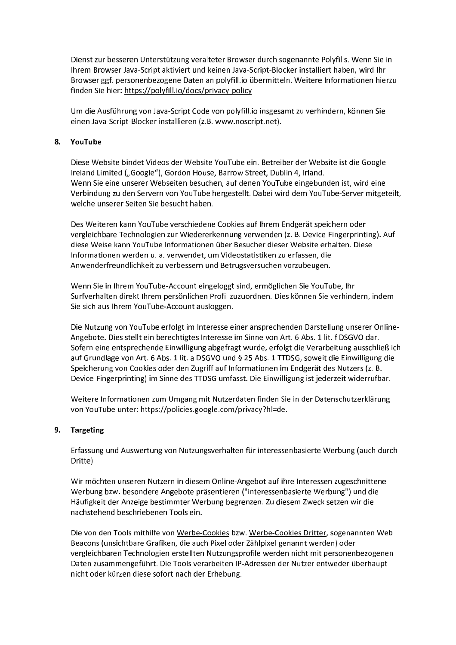Dienst zur besseren Unterstützung veralteter Browser durch sogenannte Polyfills. Wenn Sie in Ihrem Browser Java-Script aktiviert und keinen Java-Script-Blocker installiert haben, wird Ihr Browser ggf. personenbezogene Daten an polyfill.io übermitteln. Weitere Informationen hierzu finden Sie hier: https://polyfill.io/docs/privacy-policy

Um die Ausführung von Java-Script Code von polyfill.io insgesamt zu verhindern, können Sie einen Java-Script-Blocker installieren (z.B. www.noscript.net).

## 8. YouTube

Diese Website bindet Videos der Website YouTube ein. Betreiber der Website ist die Google Ireland Limited ("Google"), Gordon House, Barrow Street, Dublin 4, Irland. Wenn Sie eine unserer Webseiten besuchen, auf denen YouTube eingebunden ist, wird eine Verbindung zu den Servern von YouTube hergestellt. Dabei wird dem YouTube-Server mitgeteilt, welche unserer Seiten Sie besucht haben.

Des Weiteren kann YouTube verschiedene Cookies auf Ihrem Endgerät speichern oder vergleichbare Technologien zur Wiedererkennung verwenden (z. B. Device-Fingerprinting). Auf diese Weise kann YouTube Informationen über Besucher dieser Website erhalten. Diese Informationen werden u. a. verwendet, um Videostatistiken zu erfassen, die Anwenderfreundlichkeit zu verbessern und Betrugsversuchen vorzubeugen.

Wenn Sie in Ihrem YouTube-Account eingeloggt sind, ermöglichen Sie YouTube, Ihr Surfverhalten direkt Ihrem persönlichen Profil zuzuordnen. Dies können Sie verhindern, indem Sie sich aus Ihrem YouTube-Account ausloggen.

Die Nutzung von YouTube erfolgt im Interesse einer ansprechenden Darstellung unserer Online-Angebote. Dies stellt ein berechtigtes Interesse im Sinne von Art. 6 Abs. 1 lit. f DSGVO dar. Sofern eine entsprechende Einwilligung abgefragt wurde, erfolgt die Verarbeitung ausschließlich auf Grundlage von Art. 6 Abs. 1 lit. a DSGVO und § 25 Abs. 1 TTDSG, soweit die Einwilligung die Speicherung von Cookies oder den Zugriff auf Informationen im Endgerät des Nutzers (z. B. Device-Fingerprinting) im Sinne des TTDSG umfasst. Die Einwilligung ist jederzeit widerrufbar.

Weitere Informationen zum Umgang mit Nutzerdaten finden Sie in der Datenschutzerklärung von YouTube unter: https://policies.google.com/privacy?hl=de.

## 9. Targeting

Erfassung und Auswertung von Nutzungsverhalten für interessenbasierte Werbung (auch durch Dritte)

Wir möchten unseren Nutzern in diesem Online-Angebot auf ihre Interessen zugeschnittene Werbung bzw. besondere Angebote präsentieren ("interessenbasierte Werbung") und die Häufigkeit der Anzeige bestimmter Werbung begrenzen. Zu diesem Zweck setzen wir die nachstehend beschriebenen Tools ein.

Die von den Tools mithilfe von Werbe-Cookies bzw. Werbe-Cookies Dritter, sogenannten Web Beacons (unsichtbare Grafiken, die auch Pixel oder Zählpixel genannt werden) oder vergleichbaren Technologien erstellten Nutzungsprofile werden nicht mit personenbezogenen Daten zusammengeführt. Die Tools verarbeiten IP-Adressen der Nutzer entweder überhaupt nicht oder kürzen diese sofort nach der Erhebung.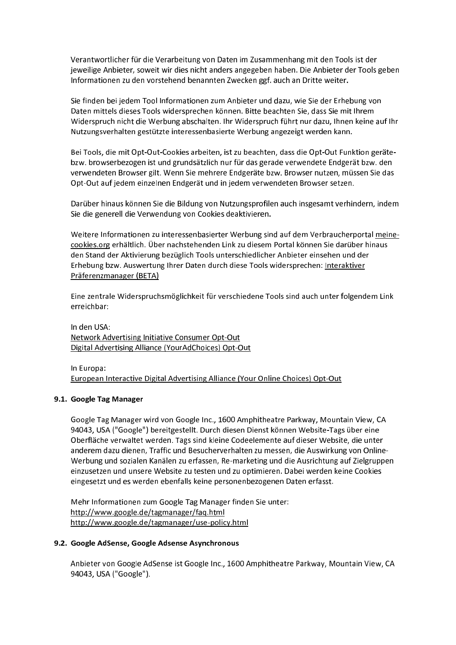Verantwortlicher für die Verarbeitung von Daten im Zusammenhang mit den Tools ist der jeweilige Anbieter, soweit wir dies nicht anders angegeben haben. Die Anbieter der Tools geben Informationen zu den vorstehend benannten Zwecken ggf. auch an Dritte weiter.

Sie finden bei jedem Tool Informationen zum Anbieter und dazu, wie Sie der Erhebung von Daten mittels dieses Tools widersprechen können. Bitte beachten Sie, dass Sie mit Ihrem Widerspruch nicht die Werbung abschalten. Ihr Widerspruch führt nur dazu, Ihnen keine auf Ihr Nutzungsverhalten gestützte interessenbasierte Werbung angezeigt werden kann.

Bei Tools, die mit Opt-Out-Cookies arbeiten, ist zu beachten, dass die Opt-Out Funktion gerätebzw. browserbezogen ist und grundsätzlich nur für das gerade verwendete Endgerät bzw. den verwendeten Browser gilt. Wenn Sie mehrere Endgeräte bzw. Browser nutzen, müssen Sie das Opt-Out auf jedem einzelnen Endgerät und in jedem verwendeten Browser setzen.

Darüber hinaus können Sie die Bildung von Nutzungsprofilen auch insgesamt verhindern, indem Sie die generell die Verwendung von Cookies deaktivieren.

Weitere Informationen zu interessenbasierter Werbung sind auf dem Verbraucherportal meinecookies.org erhältlich. Über nachstehenden Link zu diesem Portal können Sie darüber hinaus den Stand der Aktivierung bezüglich Tools unterschiedlicher Anbieter einsehen und der Erhebung bzw. Auswertung Ihrer Daten durch diese Tools widersprechen: Interaktiver Präferenzmanager (BETA)

Eine zentrale Widerspruchsmöglichkeit für verschiedene Tools sind auch unter folgendem Link erreichbar:

In den USA: Network Advertising Initiative Consumer Opt-Out Digital Advertising Alliance (YourAdChoices) Opt-Out

In Europa:

European Interactive Digital Advertising Alliance (Your Online Choices) Opt-Out

## 9.1. Google Tag Manager

Google Tag Manager wird von Google Inc., 1600 Amphitheatre Parkway, Mountain View, CA 94043, USA ("Google") bereitgestellt. Durch diesen Dienst können Website-Tags über eine Oberfläche verwaltet werden. Tags sind kleine Codeelemente auf dieser Website, die unter anderem dazu dienen, Traffic und Besucherverhalten zu messen, die Auswirkung von Online-Werbung und sozialen Kanälen zu erfassen, Re-marketing und die Ausrichtung auf Zielgruppen einzusetzen und unsere Website zu testen und zu optimieren. Dabei werden keine Cookies eingesetzt und es werden ebenfalls keine personenbezogenen Daten erfasst.

Mehr Informationen zum Google Tag Manager finden Sie unter: http://www.google.de/tagmanager/faq.html http://www.google.de/tagmanager/use-policy.html

## 9.2. Google AdSense, Google Adsense Asynchronous

Anbieter von Google AdSense ist Google Inc., 1600 Amphitheatre Parkway, Mountain View, CA 94043, USA ("Google").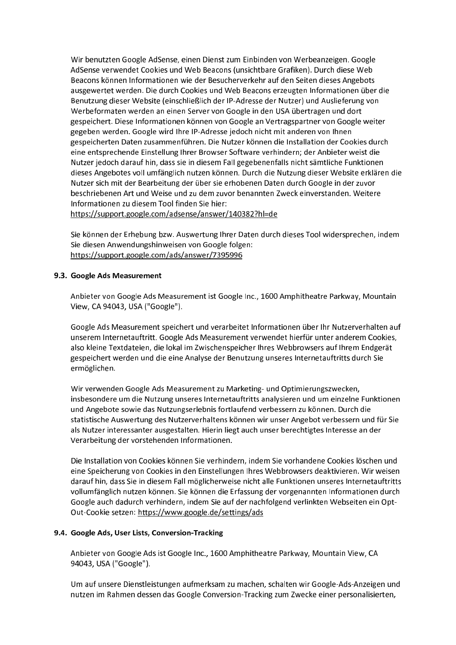Wir benutzten Google AdSense, einen Dienst zum Einbinden von Werbeanzeigen. Google AdSense verwendet Cookies und Web Beacons (unsichtbare Grafiken). Durch diese Web Beacons können Informationen wie der Besucherverkehr auf den Seiten dieses Angebots ausgewertet werden. Die durch Cookies und Web Beacons erzeugten Informationen über die Benutzung dieser Website (einschließlich der IP-Adresse der Nutzer) und Auslieferung von Werbeformaten werden an einen Server von Google in den USA übertragen und dort gespeichert. Diese Informationen können von Google an Vertragspartner von Google weiter gegeben werden. Google wird Ihre IP-Adresse jedoch nicht mit anderen von Ihnen gespeicherten Daten zusammenführen. Die Nutzer können die Installation der Cookies durch eine entsprechende Einstellung Ihrer Browser Software verhindern; der Anbieter weist die Nutzer jedoch darauf hin, dass sie in diesem Fall gegebenenfalls nicht sämtliche Funktionen dieses Angebotes voll umfänglich nutzen können. Durch die Nutzung dieser Website erklären die Nutzer sich mit der Bearbeitung der über sie erhobenen Daten durch Google in der zuvor beschriebenen Art und Weise und zu dem zuvor benannten Zweck einverstanden. Weitere Informationen zu diesem Tool finden Sie hier:

https://support.google.com/adsense/answer/140382?hl=de

Sie können der Erhebung bzw. Auswertung Ihrer Daten durch dieses Tool widersprechen, indem Sie diesen Anwendungshinweisen von Google folgen: https://support.google.com/ads/answer/7395996

## 9.3. Google Ads Measurement

Anbieter von Google Ads Measurement ist Google Inc., 1600 Amphitheatre Parkway, Mountain View, CA 94043, USA ("Google").

Google Ads Measurement speichert und verarbeitet Informationen über Ihr Nutzerverhalten auf unserem Internetauftritt. Google Ads Measurement verwendet hierfür unter anderem Cookies, also kleine Textdateien, die lokal im Zwischenspeicher Ihres Webbrowsers auf Ihrem Endgerät gespeichert werden und die eine Analyse der Benutzung unseres Internetauftritts durch Sie ermöglichen.

Wir verwenden Google Ads Measurement zu Marketing- und Optimierungszwecken, insbesondere um die Nutzung unseres Internetauftritts analysieren und um einzelne Funktionen und Angebote sowie das Nutzungserlebnis fortlaufend verbessern zu können. Durch die statistische Auswertung des Nutzerverhaltens können wir unser Angebot verbessern und für Sie als Nutzer interessanter ausgestalten. Hierin liegt auch unser berechtigtes Interesse an der Verarbeitung der vorstehenden Informationen.

Die Installation von Cookies können Sie verhindern, indem Sie vorhandene Cookies löschen und eine Speicherung von Cookies in den Einstellungen Ihres Webbrowsers deaktivieren. Wir weisen darauf hin, dass Sie in diesem Fall möglicherweise nicht alle Funktionen unseres Internetauftritts vollumfänglich nutzen können. Sie können die Erfassung der vorgenannten Informationen durch Google auch dadurch verhindern, indem Sie auf der nachfolgend verlinkten Webseiten ein Opt-Out-Cookie setzen: https://www.google.de/settings/ads

## 9.4. Google Ads. User Lists. Conversion-Tracking

Anbieter von Google Ads ist Google Inc., 1600 Amphitheatre Parkway, Mountain View, CA 94043, USA ("Google").

Um auf unsere Dienstleistungen aufmerksam zu machen, schalten wir Google-Ads-Anzeigen und nutzen im Rahmen dessen das Google Conversion-Tracking zum Zwecke einer personalisierten,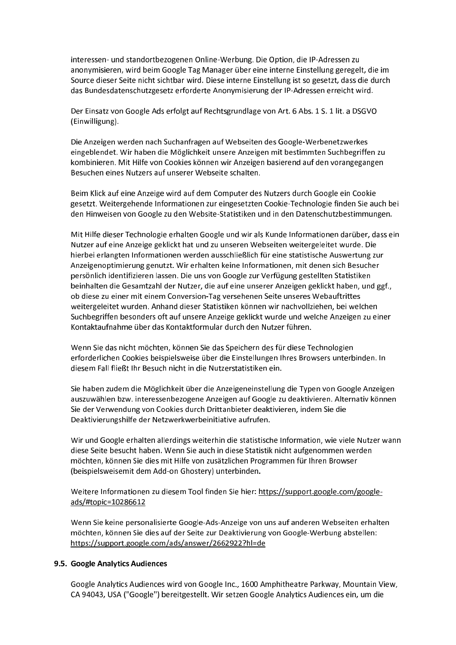interessen- und standortbezogenen Online-Werbung. Die Option, die IP-Adressen zu anonymisieren, wird beim Google Tag Manager über eine interne Einstellung geregelt, die im Source dieser Seite nicht sichtbar wird. Diese interne Einstellung ist so gesetzt, dass die durch das Bundesdatenschutzgesetz erforderte Anonymisierung der IP-Adressen erreicht wird.

Der Einsatz von Google Ads erfolgt auf Rechtsgrundlage von Art. 6 Abs. 1 S. 1 lit. a DSGVO (Einwilligung).

Die Anzeigen werden nach Suchanfragen auf Webseiten des Google-Werbenetzwerkes eingeblendet. Wir haben die Möglichkeit unsere Anzeigen mit bestimmten Suchbegriffen zu kombinieren. Mit Hilfe von Cookies können wir Anzeigen basierend auf den vorangegangen Besuchen eines Nutzers auf unserer Webseite schalten.

Beim Klick auf eine Anzeige wird auf dem Computer des Nutzers durch Google ein Cookie gesetzt. Weitergehende Informationen zur eingesetzten Cookie-Technologie finden Sie auch bei den Hinweisen von Google zu den Website-Statistiken und in den Datenschutzbestimmungen.

Mit Hilfe dieser Technologie erhalten Google und wir als Kunde Informationen darüber, dass ein Nutzer auf eine Anzeige geklickt hat und zu unseren Webseiten weitergeleitet wurde. Die hierbei erlangten Informationen werden ausschließlich für eine statistische Auswertung zur Anzeigenoptimierung genutzt. Wir erhalten keine Informationen, mit denen sich Besucher persönlich identifizieren lassen. Die uns von Google zur Verfügung gestellten Statistiken beinhalten die Gesamtzahl der Nutzer, die auf eine unserer Anzeigen geklickt haben, und ggf., ob diese zu einer mit einem Conversion-Tag versehenen Seite unseres Webauftrittes weitergeleitet wurden. Anhand dieser Statistiken können wir nachvollziehen, bei welchen Suchbegriffen besonders oft auf unsere Anzeige geklickt wurde und welche Anzeigen zu einer Kontaktaufnahme über das Kontaktformular durch den Nutzer führen.

Wenn Sie das nicht möchten, können Sie das Speichern des für diese Technologien erforderlichen Cookies beispielsweise über die Einstellungen Ihres Browsers unterbinden. In diesem Fall fließt Ihr Besuch nicht in die Nutzerstatistiken ein.

Sie haben zudem die Möglichkeit über die Anzeigeneinstellung die Typen von Google Anzeigen auszuwählen bzw. interessenbezogene Anzeigen auf Google zu deaktivieren. Alternativ können Sie der Verwendung von Cookies durch Drittanbieter deaktivieren, indem Sie die Deaktivierungshilfe der Netzwerkwerbeinitiative aufrufen.

Wir und Google erhalten allerdings weiterhin die statistische Information, wie viele Nutzer wann diese Seite besucht haben. Wenn Sie auch in diese Statistik nicht aufgenommen werden möchten, können Sie dies mit Hilfe von zusätzlichen Programmen für Ihren Browser (beispielsweisemit dem Add-on Ghostery) unterbinden.

Weitere Informationen zu diesem Tool finden Sie hier: https://support.google.com/googleads/#topic=10286612

Wenn Sie keine personalisierte Google-Ads-Anzeige von uns auf anderen Webseiten erhalten möchten, können Sie dies auf der Seite zur Deaktivierung von Google-Werbung abstellen: https://support.google.com/ads/answer/2662922?hl=de

## 9.5. Google Analytics Audiences

Google Analytics Audiences wird von Google Inc., 1600 Amphitheatre Parkway, Mountain View, CA 94043, USA ("Google") bereitgestellt. Wir setzen Google Analytics Audiences ein, um die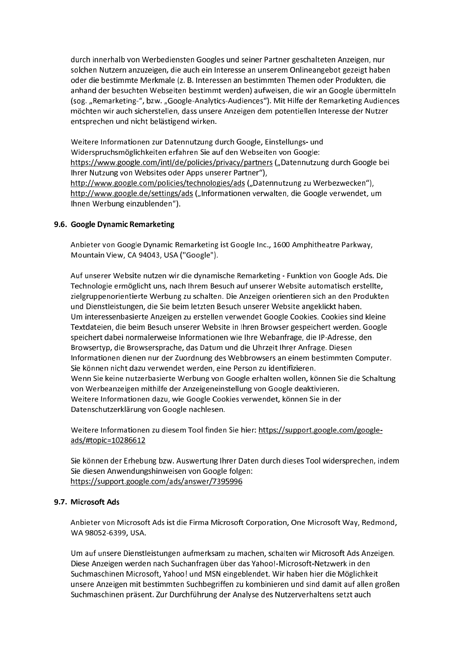durch innerhalb von Werbediensten Googles und seiner Partner geschalteten Anzeigen, nur solchen Nutzern anzuzeigen, die auch ein Interesse an unserem Onlineangebot gezeigt haben oder die bestimmte Merkmale (z. B. Interessen an bestimmten Themen oder Produkten, die anhand der besuchten Webseiten bestimmt werden) aufweisen, die wir an Google übermitteln (sog. "Remarketing-", bzw. "Google-Analytics-Audiences"). Mit Hilfe der Remarketing Audiences möchten wir auch sicherstellen, dass unsere Anzeigen dem potentiellen Interesse der Nutzer entsprechen und nicht belästigend wirken.

Weitere Informationen zur Datennutzung durch Google, Einstellungs- und Widerspruchsmöglichkeiten erfahren Sie auf den Webseiten von Google: https://www.google.com/intl/de/policies/privacy/partners ("Datennutzung durch Google bei Ihrer Nutzung von Websites oder Apps unserer Partner"), http://www.google.com/policies/technologies/ads ("Datennutzung zu Werbezwecken"), http://www.google.de/settings/ads ("Informationen verwalten, die Google verwendet, um Ihnen Werbung einzublenden").

# 9.6. Google Dynamic Remarketing

Anbieter von Google Dynamic Remarketing ist Google Inc., 1600 Amphitheatre Parkway, Mountain View, CA 94043, USA ("Google").

Auf unserer Website nutzen wir die dynamische Remarketing - Funktion von Google Ads. Die Technologie ermöglicht uns, nach Ihrem Besuch auf unserer Website automatisch erstellte, zielgruppenorientierte Werbung zu schalten. Die Anzeigen orientieren sich an den Produkten und Dienstleistungen, die Sie beim letzten Besuch unserer Website angeklickt haben. Um interessenbasierte Anzeigen zu erstellen verwendet Google Cookies. Cookies sind kleine Textdateien, die beim Besuch unserer Website in Ihren Browser gespeichert werden. Google speichert dabei normalerweise Informationen wie Ihre Webanfrage, die IP-Adresse, den Browsertyp, die Browsersprache, das Datum und die Uhrzeit Ihrer Anfrage. Diesen Informationen dienen nur der Zuordnung des Webbrowsers an einem bestimmten Computer. Sie können nicht dazu verwendet werden, eine Person zu identifizieren. Wenn Sie keine nutzerbasierte Werbung von Google erhalten wollen, können Sie die Schaltung von Werbeanzeigen mithilfe der Anzeigeneinstellung von Google deaktivieren. Weitere Informationen dazu, wie Google Cookies verwendet, können Sie in der Datenschutzerklärung von Google nachlesen.

Weitere Informationen zu diesem Tool finden Sie hier: https://support.google.com/googleads/#topic=10286612

Sie können der Erhebung bzw. Auswertung Ihrer Daten durch dieses Tool widersprechen, indem Sie diesen Anwendungshinweisen von Google folgen: https://support.google.com/ads/answer/7395996

## 9.7. Microsoft Ads

Anbieter von Microsoft Ads ist die Firma Microsoft Corporation, One Microsoft Way, Redmond, WA98052-6399, USA.

Um auf unsere Dienstleistungen aufmerksam zu machen, schalten wir Microsoft Ads Anzeigen. Diese Anzeigen werden nach Suchanfragen über das Yahoo!-Microsoft-Netzwerk in den Suchmaschinen Microsoft, Yahoo! und MSN eingeblendet. Wir haben hier die Möglichkeit unsere Anzeigen mit bestimmten Suchbegriffen zu kombinieren und sind damit auf allen großen Suchmaschinen präsent. Zur Durchführung der Analyse des Nutzerverhaltens setzt auch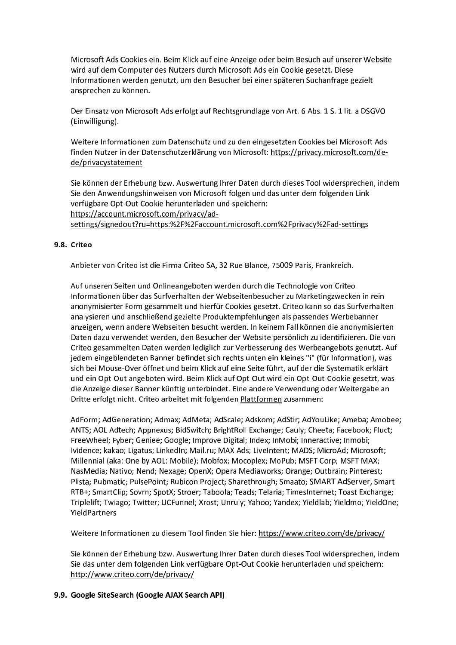Microsoft Ads Cookies ein. Beim Klick auf eine Anzeige oder beim Besuch auf unserer Website wird auf dem Computer des Nutzers durch Microsoft Ads ein Cookie gesetzt. Diese Informationen werden genutzt, um den Besucher bei einer späteren Suchanfrage gezielt ansprechen zu können.

Der Einsatz von Microsoft Ads erfolgt auf Rechtsgrundlage von Art. 6 Abs. 1 S. 1 lit. a DSGVO (Einwilligung).

Weitere Informationen zum Datenschutz und zu den eingesetzten Cookies bei Microsoft Ads finden Nutzer in der Datenschutzerklärung von Microsoft: https://privacy.microsoft.com/dede/privacystatement

Sie können der Erhebung bzw. Auswertung Ihrer Daten durch dieses Tool widersprechen, indem Sie den Anwendungshinweisen von Microsoft folgen und das unter dem folgenden Link verfügbare Opt-Out Cookie herunterladen und speichern: https://account.microsoft.com/privacy/adsettings/signedout?ru=https:%2F%2Faccount.microsoft.com%2Fprivacy%2Fad-settings

# 9.8. Criteo

Anbieter von Criteo ist die Firma Criteo SA, 32 Rue Blance, 75009 Paris, Frankreich.

Auf unseren Seiten und Onlineangeboten werden durch die Technologie von Criteo Informationen über das Surfverhalten der Webseitenbesucher zu Marketingzwecken in rein anonymisierter Form gesammelt und hierfür Cookies gesetzt. Criteo kann so das Surfverhalten analysieren und anschließend gezielte Produktempfehlungen als passendes Werbebanner anzeigen, wenn andere Webseiten besucht werden. In keinem Fall können die anonymisierten Daten dazu verwendet werden, den Besucher der Website persönlich zu identifizieren. Die von Criteo gesammelten Daten werden lediglich zur Verbesserung des Werbeangebots genutzt. Auf jedem eingeblendeten Banner befindet sich rechts unten ein kleines "i" (für Information), was sich bei Mouse-Over öffnet und beim Klick auf eine Seite führt, auf der die Systematik erklärt und ein Opt-Out angeboten wird. Beim Klick auf Opt-Out wird ein Opt-Out-Cookie gesetzt, was die Anzeige dieser Banner künftig unterbindet. Eine andere Verwendung oder Weitergabe an Dritte erfolgt nicht. Criteo arbeitet mit folgenden Plattformen zusammen:

AdForm; AdGeneration; Admax; AdMeta; AdScale; Adskom; AdStir; AdYouLike; Ameba; Amobee; ANTS; AOL Adtech; Appnexus; BidSwitch; BrightRoll Exchange; Cauly; Cheeta; Facebook; Fluct; FreeWheel; Fyber; Geniee; Google; Improve Digital; Index; InMobi; Inneractive; Inmobi; Ividence; kakao; Ligatus; LinkedIn; Mail.ru; MAX Ads; LiveIntent; MADS; MicroAd; Microsoft; Millennial (aka: One by AOL: Mobile); Mobfox; Mocoplex; MoPub; MSFT Corp; MSFT MAX; Nas Media; Nativo; Nend; Nexage; OpenX; Opera Mediaworks; Orange; Outbrain; Pinterest; Plista; Pubmatic; PulsePoint; Rubicon Project; Sharethrough; Smaato; SMART AdServer, Smart RTB+: SmartClip: Sovrn: SpotX: Stroer: Taboola: Teads: Telaria: TimesInternet: Toast Exchange: Triplelift; Twiago; Twitter; UCFunnel; Xrost; Unruly; Yahoo; Yandex; Yieldlab; Yieldmo; YieldOne; YieldPartners

Weitere Informationen zu diesem Tool finden Sie hier: https://www.criteo.com/de/privacy/

Sie können der Erhebung bzw. Auswertung Ihrer Daten durch dieses Tool widersprechen, indem Sie das unter dem folgenden Link verfügbare Opt-Out Cookie herunterladen und speichern: http://www.criteo.com/de/privacy/

# 9.9. Google SiteSearch (Google AJAX Search API)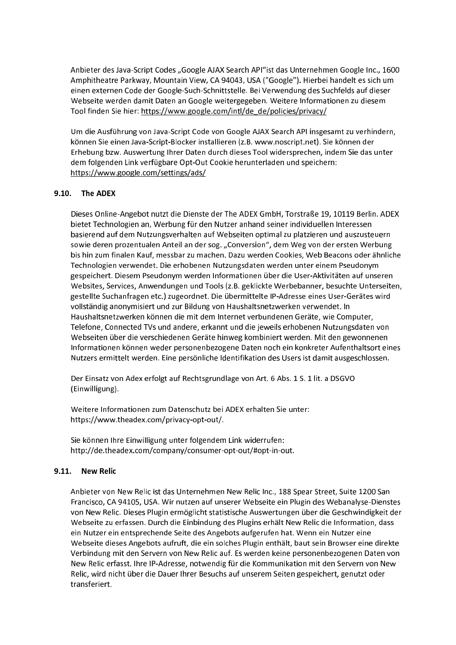Anbieter des Java-Script Codes "Google AJAX Search API"ist das Unternehmen Google Inc., 1600 Amphitheatre Parkway, Mountain View, CA 94043, USA ("Google"). Hierbei handelt es sich um einen externen Code der Google-Such-Schnittstelle. Bei Verwendung des Suchfelds auf dieser Webseite werden damit Daten an Google weitergegeben. Weitere Informationen zu diesem Tool finden Sie hier: https://www.google.com/intl/de de/policies/privacy/

Um die Ausführung von Java-Script Code von Google AJAX Search API insgesamt zu verhindern, können Sie einen Java-Script-Blocker installieren (z.B. www.noscript.net). Sie können der Erhebung bzw. Auswertung Ihrer Daten durch dieses Tool widersprechen, indem Sie das unter dem folgenden Link verfügbare Opt-Out Cookie herunterladen und speichern: https://www.google.com/settings/ads/

# 9.10. The ADEX

Dieses Online-Angebot nutzt die Dienste der The ADEX GmbH, Torstraße 19, 10119 Berlin. ADEX bietet Technologien an, Werbung für den Nutzer anhand seiner individuellen Interessen basierend auf dem Nutzungsverhalten auf Webseiten optimal zu platzieren und auszusteuern sowie deren prozentualen Anteil an der sog. "Conversion", dem Weg von der ersten Werbung bis hin zum finalen Kauf, messbar zu machen. Dazu werden Cookies, Web Beacons oder ähnliche Technologien verwendet. Die erhobenen Nutzungsdaten werden unter einem Pseudonym gespeichert. Diesem Pseudonym werden Informationen über die User-Aktivitäten auf unseren Websites, Services, Anwendungen und Tools (z.B. geklickte Werbebanner, besuchte Unterseiten, gestellte Suchanfragen etc.) zugeordnet. Die übermittelte IP-Adresse eines User-Gerätes wird vollständig anonymisiert und zur Bildung von Haushaltsnetzwerken verwendet. In Haushaltsnetzwerken können die mit dem Internet verbundenen Geräte, wie Computer, Telefone, Connected TVs und andere, erkannt und die jeweils erhobenen Nutzungsdaten von Webseiten über die verschiedenen Geräte hinweg kombiniert werden. Mit den gewonnenen Informationen können weder personenbezogene Daten noch ein konkreter Aufenthaltsort eines Nutzers ermittelt werden. Eine persönliche Identifikation des Users ist damit ausgeschlossen.

Der Einsatz von Adex erfolgt auf Rechtsgrundlage von Art. 6 Abs. 1 S. 1 lit. a DSGVO (Einwilligung).

Weitere Informationen zum Datenschutz bei ADEX erhalten Sie unter: https://www.theadex.com/privacy-opt-out/.

Sie können Ihre Einwilligung unter folgendem Link widerrufen: http://de.theadex.com/company/consumer-opt-out/#opt-in-out.

#### $9.11.$ **New Relic**

Anbieter von New Relic ist das Unternehmen New Relic Inc., 188 Spear Street, Suite 1200 San Francisco, CA 94105, USA. Wir nutzen auf unserer Webseite ein Plugin des Webanalyse-Dienstes von New Relic. Dieses Plugin ermöglicht statistische Auswertungen über die Geschwindigkeit der Webseite zu erfassen. Durch die Einbindung des Plugins erhält New Relic die Information, dass ein Nutzer ein entsprechende Seite des Angebots aufgerufen hat. Wenn ein Nutzer eine Webseite dieses Angebots aufruft, die ein solches Plugin enthält, baut sein Browser eine direkte Verbindung mit den Servern von New Relic auf. Es werden keine personenbezogenen Daten von New Relic erfasst. Ihre IP-Adresse, notwendig für die Kommunikation mit den Servern von New Relic, wird nicht über die Dauer Ihrer Besuchs auf unserem Seiten gespeichert, genutzt oder transferiert.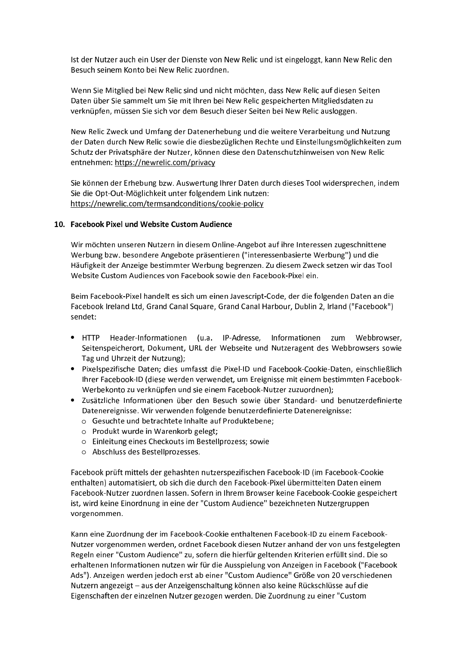Ist der Nutzer auch ein User der Dienste von New Relic und ist eingeloggt, kann New Relic den Besuch seinem Konto bei New Relic zuordnen.

Wenn Sie Mitglied bei New Relic sind und nicht möchten, dass New Relic auf diesen Seiten Daten über Sie sammelt um Sie mit Ihren bei New Relic gespeicherten Mitgliedsdaten zu verknüpfen, müssen Sie sich vor dem Besuch dieser Seiten bei New Relic ausloggen.

New Relic Zweck und Umfang der Datenerhebung und die weitere Verarbeitung und Nutzung der Daten durch New Relic sowie die diesbezüglichen Rechte und Einstellungsmöglichkeiten zum Schutz der Privatsphäre der Nutzer, können diese den Datenschutzhinweisen von New Relic entnehmen: https://newrelic.com/privacy

Sie können der Erhebung bzw. Auswertung Ihrer Daten durch dieses Tool widersprechen, indem Sie die Opt-Out-Möglichkeit unter folgendem Link nutzen: https://newrelic.com/termsandconditions/cookie-policy

## 10. Facebook Pixel und Website Custom Audience

Wir möchten unseren Nutzern in diesem Online-Angebot auf ihre Interessen zugeschnittene Werbung bzw. besondere Angebote präsentieren ("interessenbasierte Werbung") und die Häufigkeit der Anzeige bestimmter Werbung begrenzen. Zu diesem Zweck setzen wir das Tool Website Custom Audiences von Facebook sowie den Facebook-Pixel ein.

Beim Facebook-Pixel handelt es sich um einen Javescript-Code, der die folgenden Daten an die Facebook Ireland Ltd, Grand Canal Square, Grand Canal Harbour, Dublin 2, Irland ("Facebook") sendet:

- $\bullet$  HTTP Header-Informationen (u.a. IP-Adresse, Informationen zum Webbrowser, Seitenspeicherort, Dokument, URL der Webseite und Nutzeragent des Webbrowsers sowie Tag und Uhrzeit der Nutzung);
- Pixelspezifische Daten: dies umfasst die Pixel-ID und Facebook-Cookie-Daten, einschließlich Ihrer Facebook-ID (diese werden verwendet, um Ereignisse mit einem bestimmten Facebook-Werbekonto zu verknüpfen und sie einem Facebook-Nutzer zuzuordnen);
- Zusätzliche Informationen über den Besuch sowie über Standard- und benutzerdefinierte Datenereignisse. Wir verwenden folgende benutzerdefinierte Datenereignisse:
	- o Gesuchte und betrachtete Inhalte auf Produktebene;
	- o Produkt wurde in Warenkorb gelegt;
	- o Einleitung eines Checkouts im Bestellprozess: sowie
	- o Abschluss des Bestellprozesses.

Facebook prüft mittels der gehashten nutzerspezifischen Facebook-ID (im Facebook-Cookie enthalten) automatisiert, ob sich die durch den Facebook-Pixel übermittelten Daten einem Facebook-Nutzer zuordnen lassen. Sofern in Ihrem Browser keine Facebook-Cookie gespeichert ist, wird keine Einordnung in eine der "Custom Audience" bezeichneten Nutzergruppen vorgenommen.

Kann eine Zuordnung der im Facebook-Cookie enthaltenen Facebook-ID zu einem Facebook-Nutzer vorgenommen werden, ordnet Facebook diesen Nutzer anhand der von uns festgelegten Regeln einer "Custom Audience" zu, sofern die hierfür geltenden Kriterien erfüllt sind. Die so erhaltenen Informationen nutzen wir für die Ausspielung von Anzeigen in Facebook ("Facebook Ads"). Anzeigen werden jedoch erst ab einer "Custom Audience" Größe von 20 verschiedenen Nutzern angezeigt - aus der Anzeigenschaltung können also keine Rückschlüsse auf die Eigenschaften der einzelnen Nutzer gezogen werden. Die Zuordnung zu einer "Custom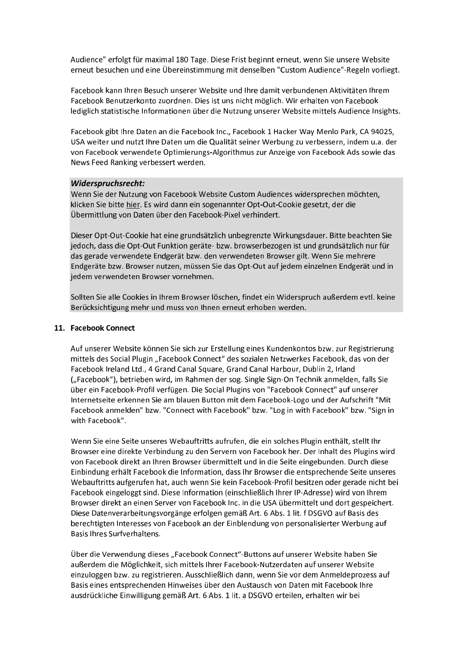Audience" erfolgt für maximal 180 Tage. Diese Frist beginnt erneut, wenn Sie unsere Website erneut besuchen und eine Übereinstimmung mit denselben "Custom Audience"-Regeln vorliegt.

Facebook kann Ihren Besuch unserer Website und Ihre damit verbundenen Aktivitäten Ihrem Facebook Benutzerkonto zuordnen. Dies ist uns nicht möglich. Wir erhalten von Facebook lediglich statistische Informationen über die Nutzung unserer Website mittels Audience Insights.

Facebook gibt Ihre Daten an die Facebook Inc., Facebook 1 Hacker Way Menlo Park, CA 94025, USA weiter und nutzt Ihre Daten um die Qualität seiner Werbung zu verbessern, indem u.a. der von Facebook verwendete Optimierungs-Algorithmus zur Anzeige von Facebook Ads sowie das News Feed Ranking verbessert werden.

## Widerspruchsrecht:

Wenn Sie der Nutzung von Facebook Website Custom Audiences widersprechen möchten, klicken Sie bitte hier. Es wird dann ein sogenannter Opt-Out-Cookie gesetzt, der die Übermittlung von Daten über den Facebook-Pixel verhindert.

Dieser Opt-Out-Cookie hat eine grundsätzlich unbegrenzte Wirkungsdauer. Bitte beachten Sie jedoch, dass die Opt-Out Funktion geräte- bzw. browserbezogen ist und grundsätzlich nur für das gerade verwendete Endgerät bzw. den verwendeten Browser gilt. Wenn Sie mehrere Endgeräte bzw. Browser nutzen, müssen Sie das Opt-Out auf jedem einzelnen Endgerät und in jedem verwendeten Browser vornehmen.

Sollten Sie alle Cookies in Ihrem Browser löschen, findet ein Widerspruch außerdem evtl. keine Berücksichtigung mehr und muss von Ihnen erneut erhoben werden.

## 11. Facebook Connect

Auf unserer Website können Sie sich zur Erstellung eines Kundenkontos bzw. zur Registrierung mittels des Social Plugin "Facebook Connect" des sozialen Netzwerkes Facebook, das von der Facebook Ireland Ltd., 4 Grand Canal Square, Grand Canal Harbour, Dublin 2, Irland ("Facebook"), betrieben wird, im Rahmen der sog. Single Sign-On Technik anmelden, falls Sie über ein Facebook-Profil verfügen. Die Social Plugins von "Facebook Connect" auf unserer Internetseite erkennen Sie am blauen Button mit dem Facebook-Logo und der Aufschrift "Mit Facebook anmelden" bzw. "Connect with Facebook" bzw. "Log in with Facebook" bzw. "Sign in with Facebook".

Wenn Sie eine Seite unseres Webauftritts aufrufen, die ein solches Plugin enthält, stellt Ihr Browser eine direkte Verbindung zu den Servern von Facebook her. Der Inhalt des Plugins wird von Facebook direkt an Ihren Browser übermittelt und in die Seite eingebunden. Durch diese Einbindung erhält Facebook die Information, dass Ihr Browser die entsprechende Seite unseres Webauftritts aufgerufen hat, auch wenn Sie kein Facebook-Profil besitzen oder gerade nicht bei Facebook eingeloggt sind. Diese Information (einschließlich Ihrer IP-Adresse) wird von Ihrem Browser direkt an einen Server von Facebook Inc. in die USA übermittelt und dort gespeichert. Diese Datenverarbeitungsvorgänge erfolgen gemäß Art. 6 Abs. 1 lit. f DSGVO auf Basis des berechtigten Interesses von Facebook an der Einblendung von personalisierter Werbung auf Basis Ihres Surfverhaltens

Über die Verwendung dieses "Facebook Connect"-Buttons auf unserer Website haben Sie außerdem die Möglichkeit, sich mittels Ihrer Facebook-Nutzerdaten auf unserer Website einzuloggen bzw. zu registrieren. Ausschließlich dann, wenn Sie vor dem Anmeldeprozess auf Basis eines entsprechenden Hinweises über den Austausch von Daten mit Facebook Ihre ausdrückliche Einwilligung gemäß Art. 6 Abs. 1 lit. a DSGVO erteilen, erhalten wir bei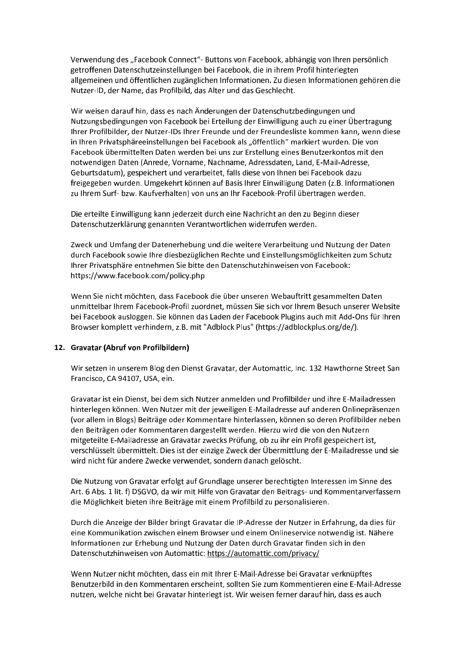Verwendung des "Facebook Connect"- Buttons von Facebook, abhängig von Ihren persönlich getroffenen Datenschutzeinstellungen bei Facebook, die in ihrem Profil hinterlegten allgemeinen und öffentlichen zugänglichen Informationen. Zu diesen Informationen gehören die Nutzer-ID, der Name, das Profilbild, das Alter und das Geschlecht.

Wir weisen darauf hin, dass es nach Änderungen der Datenschutzbedingungen und Nutzungsbedingungen von Facebook bei Erteilung der Einwilligung auch zu einer Übertragung Ihrer Profilbilder, der Nutzer-IDs Ihrer Freunde und der Freundesliste kommen kann, wenn diese in Ihren Privatsphäreeinstellungen bei Facebook als "öffentlich" markiert wurden. Die von Facebook übermittelten Daten werden bei uns zur Erstellung eines Benutzerkontos mit den notwendigen Daten (Anrede, Vorname, Nachname, Adressdaten, Land, E-Mail-Adresse, Geburtsdatum), gespeichert und verarbeitet, falls diese von Ihnen bei Facebook dazu freigegeben wurden. Umgekehrt können auf Basis Ihrer Einwilligung Daten (z.B. Informationen zu Ihrem Surf- bzw. Kaufverhalten) von uns an Ihr Facebook-Profil übertragen werden.

Die erteilte Einwilligung kann jederzeit durch eine Nachricht an den zu Beginn dieser Datenschutzerklärung genannten Verantwortlichen widerrufen werden.

Zweck und Umfang der Datenerhebung und die weitere Verarbeitung und Nutzung der Daten durch Facebook sowie Ihre diesbezüglichen Rechte und Einstellungsmöglichkeiten zum Schutz Ihrer Privatsphäre entnehmen Sie bitte den Datenschutzhinweisen von Facebook: https://www.facebook.com/policy.php

Wenn Sie nicht möchten, dass Facebook die über unseren Webauftritt gesammelten Daten unmittelbar Ihrem Facebook-Profil zuordnet, müssen Sie sich vor Ihrem Besuch unserer Website bei Facebook ausloggen. Sie können das Laden der Facebook Plugins auch mit Add-Ons für Ihren Browser komplett verhindern, z.B. mit "Adblock Plus" (https://adblockplus.org/de/).

## 12. Gravatar (Abruf von Profilbildern)

Wir setzen in unserem Blog den Dienst Gravatar, der Automattic, Inc. 132 Hawthorne Street San Francisco, CA 94107, USA, ein.

Gravatar ist ein Dienst, bei dem sich Nutzer anmelden und Profilbilder und ihre E-Mailadressen hinterlegen können. Wen Nutzer mit der jeweiligen E-Mailadresse auf anderen Onlinepräsenzen (vor allem in Blogs) Beiträge oder Kommentare hinterlassen, können so deren Profilbilder neben den Beiträgen oder Kommentaren dargestellt werden. Hierzu wird die von den Nutzern mitgeteilte E-Mailadresse an Gravatar zwecks Prüfung, ob zu ihr ein Profil gespeichert ist, verschlüsselt übermittelt. Dies ist der einzige Zweck der Übermittlung der E-Mailadresse und sie wird nicht für andere Zwecke verwendet, sondern danach gelöscht.

Die Nutzung von Gravatar erfolgt auf Grundlage unserer berechtigten Interessen im Sinne des Art. 6 Abs. 1 lit. f) DSGVO, da wir mit Hilfe von Gravatar den Beitrags- und Kommentarverfassern die Möglichkeit bieten ihre Beiträge mit einem Profilbild zu personalisieren.

Durch die Anzeige der Bilder bringt Gravatar die IP-Adresse der Nutzer in Erfahrung, da dies für eine Kommunikation zwischen einem Browser und einem Onlineservice notwendig ist. Nähere Informationen zur Erhebung und Nutzung der Daten durch Gravatar finden sich in den Datenschutzhinweisen von Automattic: https://automattic.com/privacy/

Wenn Nutzer nicht möchten, dass ein mit Ihrer E-Mail-Adresse bei Gravatar verknüpftes Benutzerbild in den Kommentaren erscheint, sollten Sie zum Kommentieren eine E-Mail-Adresse nutzen, welche nicht bei Gravatar hinterlegt ist. Wir weisen ferner darauf hin, dass es auch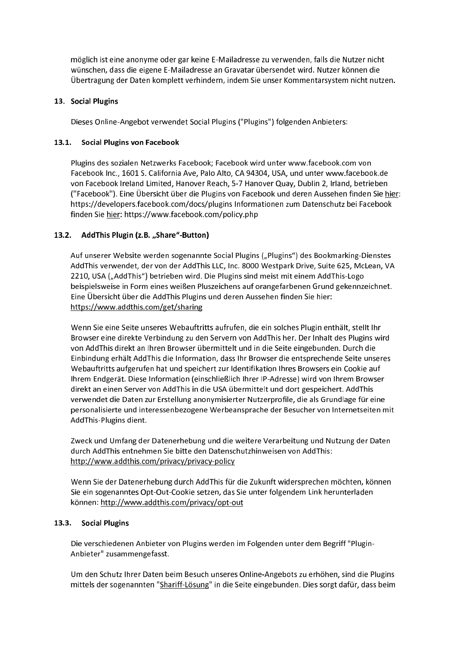möglich ist eine anonyme oder gar keine E-Mailadresse zu verwenden, falls die Nutzer nicht wünschen, dass die eigene E-Mailadresse an Gravatar übersendet wird. Nutzer können die Übertragung der Daten komplett verhindern, indem Sie unser Kommentarsystem nicht nutzen.

# 13. Social Plugins

Dieses Online-Angebot verwendet Social Plugins ("Plugins") folgenden Anbieters:

# 13.1. Social Plugins von Facebook

Plugins des sozialen Netzwerks Facebook; Facebook wird unter www.facebook.com von Facebook Inc., 1601 S. California Ave. Palo Alto, CA 94304, USA, und unter www.facebook.de von Facebook Ireland Limited, Hanover Reach, 5-7 Hanover Quay, Dublin 2, Irland, betrieben ("Facebook"). Eine Übersicht über die Plugins von Facebook und deren Aussehen finden Sie hier: https://developers.facebook.com/docs/plugins Informationen zum Datenschutz bei Facebook finden Sie hier: https://www.facebook.com/policy.php

# 13.2. AddThis Plugin (z.B. "Share"-Button)

Auf unserer Website werden sogenannte Social Plugins ("Plugins") des Bookmarking-Dienstes AddThis verwendet, der von der AddThis LLC, Inc. 8000 Westpark Drive, Suite 625, McLean, VA 2210, USA ("AddThis") betrieben wird. Die Plugins sind meist mit einem AddThis-Logo beispielsweise in Form eines weißen Pluszeichens auf orangefarbenen Grund gekennzeichnet. Eine Übersicht über die AddThis Plugins und deren Aussehen finden Sie hier: https://www.addthis.com/get/sharing

Wenn Sie eine Seite unseres Webauftritts aufrufen, die ein solches Plugin enthält, stellt Ihr Browser eine direkte Verbindung zu den Servern von AddThis her. Der Inhalt des Plugins wird von AddThis direkt an Ihren Browser übermittelt und in die Seite eingebunden. Durch die Einbindung erhält AddThis die Information, dass Ihr Browser die entsprechende Seite unseres Webauftritts aufgerufen hat und speichert zur Identifikation Ihres Browsers ein Cookie auf Ihrem Endgerät. Diese Information (einschließlich Ihrer IP-Adresse) wird von Ihrem Browser direkt an einen Server von AddThis in die USA übermittelt und dort gespeichert. AddThis verwendet die Daten zur Erstellung anonymisierter Nutzerprofile, die als Grundlage für eine personalisierte und interessenbezogene Werbeansprache der Besucher von Internetseiten mit AddThis-Plugins dient.

Zweck und Umfang der Datenerhebung und die weitere Verarbeitung und Nutzung der Daten durch AddThis entnehmen Sie bitte den Datenschutzhinweisen von AddThis: http://www.addthis.com/privacy/privacy-policy

Wenn Sie der Datenerhebung durch AddThis für die Zukunft widersprechen möchten, können Sie ein sogenanntes Opt-Out-Cookie setzen, das Sie unter folgendem Link herunterladen können: http://www.addthis.com/privacy/opt-out

## 13.3. Social Plugins

Die verschiedenen Anbieter von Plugins werden im Folgenden unter dem Begriff "Plugin-Anbieter" zusammengefasst.

Um den Schutz Ihrer Daten beim Besuch unseres Online-Angebots zu erhöhen, sind die Plugins mittels der sogenannten "Shariff-Lösung" in die Seite eingebunden. Dies sorgt dafür, dass beim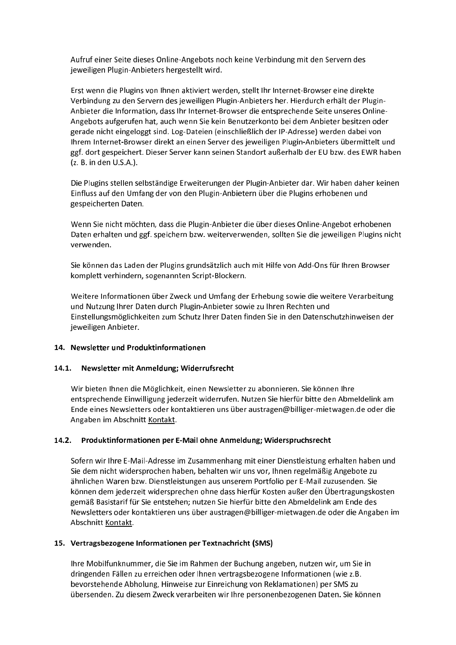Aufruf einer Seite dieses Online-Angebots noch keine Verbindung mit den Servern des jeweiligen Plugin-Anbieters hergestellt wird.

Erst wenn die Plugins von Ihnen aktiviert werden, stellt Ihr Internet-Browser eine direkte Verbindung zu den Servern des jeweiligen Plugin-Anbieters her. Hierdurch erhält der Plugin-Anbieter die Information, dass Ihr Internet-Browser die entsprechende Seite unseres Online-Angebots aufgerufen hat, auch wenn Sie kein Benutzerkonto bei dem Anbieter besitzen oder gerade nicht eingeloggt sind. Log-Dateien (einschließlich der IP-Adresse) werden dabei von Ihrem Internet-Browser direkt an einen Server des jeweiligen Plugin-Anbieters übermittelt und ggf. dort gespeichert. Dieser Server kann seinen Standort außerhalb der EU bzw. des EWR haben (z. B. in den U.S.A.).

Die Plugins stellen selbständige Erweiterungen der Plugin-Anbieter dar. Wir haben daher keinen Einfluss auf den Umfang der von den Plugin-Anbietern über die Plugins erhobenen und gespeicherten Daten.

Wenn Sie nicht möchten, dass die Plugin-Anbieter die über dieses Online-Angebot erhobenen Daten erhalten und ggf. speichern bzw. weiterverwenden, sollten Sie die jeweiligen Plugins nicht verwenden.

Sie können das Laden der Plugins grundsätzlich auch mit Hilfe von Add-Ons für Ihren Browser komplett verhindern, sogenannten Script-Blockern.

Weitere Informationen über Zweck und Umfang der Erhebung sowie die weitere Verarbeitung und Nutzung Ihrer Daten durch Plugin-Anbieter sowie zu Ihren Rechten und Einstellungsmöglichkeiten zum Schutz Ihrer Daten finden Sie in den Datenschutzhinweisen der jeweiligen Anbieter.

## 14. Newsletter und Produktinformationen

# 14.1. Newsletter mit Anmeldung; Widerrufsrecht

Wir bieten Ihnen die Möglichkeit, einen Newsletter zu abonnieren. Sie können Ihre entsprechende Einwilligung jederzeit widerrufen. Nutzen Sie hierfür bitte den Abmeldelink am Ende eines Newsletters oder kontaktieren uns über austragen@billiger-mietwagen.de oder die Angaben im Abschnitt Kontakt.

# 14.2. Produktinformationen per E-Mail ohne Anmeldung; Widerspruchsrecht

Sofern wir Ihre E-Mail-Adresse im Zusammenhang mit einer Dienstleistung erhalten haben und Sie dem nicht widersprochen haben, behalten wir uns vor, Ihnen regelmäßig Angebote zu ähnlichen Waren bzw. Dienstleistungen aus unserem Portfolio per E-Mail zuzusenden. Sie können dem jederzeit widersprechen ohne dass hierfür Kosten außer den Übertragungskosten gemäß Basistarif für Sie entstehen; nutzen Sie hierfür bitte den Abmeldelink am Ende des Newsletters oder kontaktieren uns über austragen@billiger-mietwagen.de oder die Angaben im Abschnitt Kontakt.

## 15. Vertragsbezogene Informationen per Textnachricht (SMS)

Ihre Mobilfunknummer, die Sie im Rahmen der Buchung angeben, nutzen wir, um Sie in dringenden Fällen zu erreichen oder Ihnen vertragsbezogene Informationen (wie z.B. bevorstehende Abholung, Hinweise zur Einreichung von Reklamationen) per SMS zu übersenden. Zu diesem Zweck verarbeiten wir Ihre personenbezogenen Daten. Sie können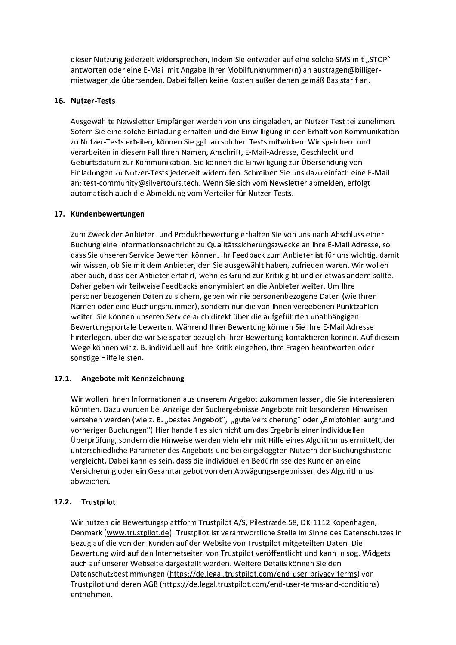dieser Nutzung jederzeit widersprechen, indem Sie entweder auf eine solche SMS mit "STOP" antworten oder eine E-Mail mit Angabe Ihrer Mobilfunknummer(n) an austragen@billigermietwagen.de übersenden. Dabei fallen keine Kosten außer denen gemäß Basistarif an.

## 16. Nutzer-Tests

Ausgewählte Newsletter Empfänger werden von uns eingeladen, an Nutzer-Test teilzunehmen. Sofern Sie eine solche Einladung erhalten und die Einwilligung in den Erhalt von Kommunikation zu Nutzer-Tests erteilen, können Sie ggf. an solchen Tests mitwirken. Wir speichern und verarbeiten in diesem Fall Ihren Namen, Anschrift, E-Mail-Adresse, Geschlecht und Geburtsdatum zur Kommunikation. Sie können die Einwilligung zur Übersendung von Einladungen zu Nutzer-Tests jederzeit widerrufen. Schreiben Sie uns dazu einfach eine E-Mail an: test-community@silvertours.tech. Wenn Sie sich vom Newsletter abmelden, erfolgt automatisch auch die Abmeldung vom Verteiler für Nutzer-Tests.

# 17. Kundenbewertungen

Zum Zweck der Anbieter- und Produktbewertung erhalten Sie von uns nach Abschluss einer Buchung eine Informationsnachricht zu Qualitätssicherungszwecke an Ihre E-Mail Adresse, so dass Sie unseren Service Bewerten können. Ihr Feedback zum Anbieter ist für uns wichtig, damit wir wissen, ob Sie mit dem Anbieter, den Sie ausgewählt haben, zufrieden waren. Wir wollen aber auch, dass der Anbieter erfährt, wenn es Grund zur Kritik gibt und er etwas ändern sollte. Daher geben wir teilweise Feedbacks anonymisiert an die Anbieter weiter. Um Ihre personenbezogenen Daten zu sichern, geben wir nie personenbezogene Daten (wie Ihren Namen oder eine Buchungsnummer), sondern nur die von Ihnen vergebenen Punktzahlen weiter. Sie können unseren Service auch direkt über die aufgeführten unabhängigen Bewertungsportale bewerten. Während Ihrer Bewertung können Sie Ihre E-Mail Adresse hinterlegen, über die wir Sie später bezüglich Ihrer Bewertung kontaktieren können. Auf diesem Wege können wir z. B. individuell auf Ihre Kritik eingehen, Ihre Fragen beantworten oder sonstige Hilfe leisten.

## 17.1. Angebote mit Kennzeichnung

Wir wollen Ihnen Informationen aus unserem Angebot zukommen lassen, die Sie interessieren könnten. Dazu wurden bei Anzeige der Suchergebnisse Angebote mit besonderen Hinweisen versehen werden (wie z. B. "bestes Angebot", "gute Versicherung" oder "Empfohlen aufgrund vorheriger Buchungen"). Hier handelt es sich nicht um das Ergebnis einer individuellen Überprüfung, sondern die Hinweise werden vielmehr mit Hilfe eines Algorithmus ermittelt, der unterschiedliche Parameter des Angebots und bei eingeloggten Nutzern der Buchungshistorie vergleicht. Dabei kann es sein, dass die individuellen Bedürfnisse des Kunden an eine Versicherung oder ein Gesamtangebot von den Abwägungsergebnissen des Algorithmus abweichen.

# 17.2. Trustpilot

Wir nutzen die Bewertungsplattform Trustpilot A/S, Pilestræde 58, DK-1112 Kopenhagen, Denmark (www.trustpilot.de). Trustpilot ist verantwortliche Stelle im Sinne des Datenschutzes in Bezug auf die von den Kunden auf der Website von Trustpilot mitgeteilten Daten. Die Bewertung wird auf den Internetseiten von Trustpilot veröffentlicht und kann in sog. Widgets auch auf unserer Webseite dargestellt werden. Weitere Details können Sie den Datenschutzbestimmungen (https://de.legal.trustpilot.com/end-user-privacy-terms) von Trustpilot und deren AGB (https://de.legal.trustpilot.com/end-user-terms-and-conditions) entnehmen.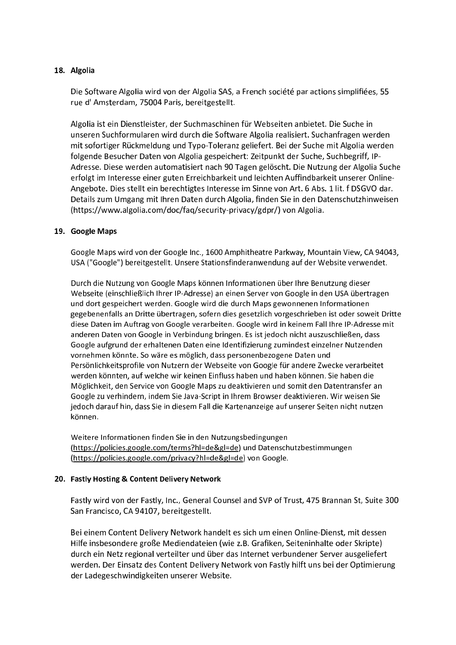# 18. Algolia

Die Software Algolia wird von der Algolia SAS, a French société par actions simplifiées, 55 rue d'Amsterdam, 75004 Paris, bereitgestellt.

Algolia ist ein Dienstleister, der Suchmaschinen für Webseiten anbietet. Die Suche in unseren Suchformularen wird durch die Software Algolia realisiert. Suchanfragen werden mit sofortiger Rückmeldung und Typo-Toleranz geliefert. Bei der Suche mit Algolia werden folgende Besucher Daten von Algolia gespeichert: Zeitpunkt der Suche, Suchbegriff, IP-Adresse. Diese werden automatisiert nach 90 Tagen gelöscht. Die Nutzung der Algolia Suche erfolgt im Interesse einer guten Erreichbarkeit und leichten Auffindbarkeit unserer Online-Angebote. Dies stellt ein berechtigtes Interesse im Sinne von Art. 6 Abs. 1 lit. f DSGVO dar. Details zum Umgang mit Ihren Daten durch Algolia, finden Sie in den Datenschutzhinweisen (https://www.algolia.com/doc/faq/security-privacy/gdpr/) von Algolia.

## 19. Google Maps

Google Maps wird von der Google Inc., 1600 Amphitheatre Parkway, Mountain View, CA 94043, USA ("Google") bereitgestellt. Unsere Stationsfinderanwendung auf der Website verwendet.

Durch die Nutzung von Google Maps können Informationen über Ihre Benutzung dieser Webseite (einschließlich Ihrer IP-Adresse) an einen Server von Google in den USA übertragen und dort gespeichert werden. Google wird die durch Maps gewonnenen Informationen gegebenenfalls an Dritte übertragen, sofern dies gesetzlich vorgeschrieben ist oder soweit Dritte diese Daten im Auftrag von Google verarbeiten. Google wird in keinem Fall Ihre IP-Adresse mit anderen Daten von Google in Verbindung bringen. Es ist jedoch nicht auszuschließen, dass Google aufgrund der erhaltenen Daten eine Identifizierung zumindest einzelner Nutzenden vornehmen könnte. So wäre es möglich, dass personenbezogene Daten und Persönlichkeitsprofile von Nutzern der Webseite von Google für andere Zwecke verarbeitet werden könnten, auf welche wir keinen Einfluss haben und haben können. Sie haben die Möglichkeit, den Service von Google Maps zu deaktivieren und somit den Datentransfer an Google zu verhindern, indem Sie Java-Script in Ihrem Browser deaktivieren. Wir weisen Sie jedoch darauf hin, dass Sie in diesem Fall die Kartenanzeige auf unserer Seiten nicht nutzen können.

Weitere Informationen finden Sie in den Nutzungsbedingungen (https://policies.google.com/terms?hl=de&gl=de) und Datenschutzbestimmungen (https://policies.google.com/privacy?hl=de&gl=de) von Google.

## 20. Fastly Hosting & Content Delivery Network

Fastly wird von der Fastly, Inc., General Counsel and SVP of Trust, 475 Brannan St, Suite 300 San Francisco, CA 94107, bereitgestellt.

Bei einem Content Delivery Network handelt es sich um einen Online-Dienst, mit dessen Hilfe insbesondere große Mediendateien (wie z.B. Grafiken, Seiteninhalte oder Skripte) durch ein Netz regional verteilter und über das Internet verbundener Server ausgeliefert werden. Der Einsatz des Content Delivery Network von Fastly hilft uns bei der Optimierung der Ladegeschwindigkeiten unserer Website.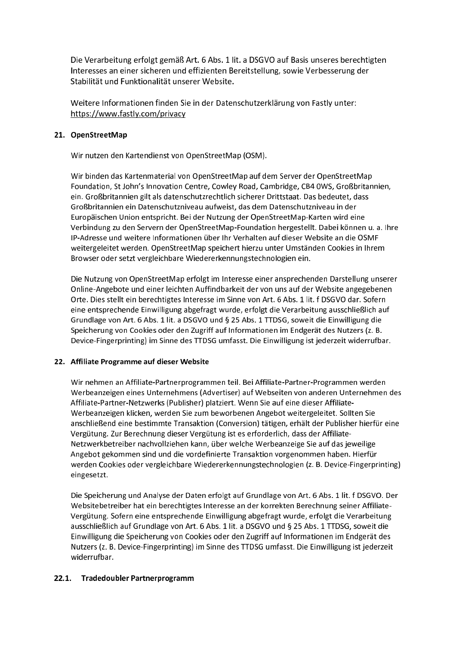Die Verarbeitung erfolgt gemäß Art. 6 Abs. 1 lit. a DSGVO auf Basis unseres berechtigten Interesses an einer sicheren und effizienten Bereitstellung, sowie Verbesserung der Stabilität und Funktionalität unserer Website.

Weitere Informationen finden Sie in der Datenschutzerklärung von Fastly unter: https://www.fastly.com/privacy

# 21. OpenStreetMap

Wir nutzen den Kartendienst von OpenStreetMap (OSM).

Wir binden das Kartenmaterial von OpenStreetMap auf dem Server der OpenStreetMap Foundation, St John's Innovation Centre, Cowley Road, Cambridge, CB4 0WS, Großbritannien, ein. Großbritannien gilt als datenschutzrechtlich sicherer Drittstaat. Das bedeutet, dass Großbritannien ein Datenschutzniveau aufweist, das dem Datenschutzniveau in der Europäischen Union entspricht. Bei der Nutzung der OpenStreetMap-Karten wird eine Verbindung zu den Servern der OpenStreetMap-Foundation hergestellt. Dabei können u. a. Ihre IP-Adresse und weitere Informationen über Ihr Verhalten auf dieser Website an die OSMF weitergeleitet werden. OpenStreetMap speichert hierzu unter Umständen Cookies in Ihrem Browser oder setzt vergleichbare Wiedererkennungstechnologien ein.

Die Nutzung von OpenStreetMap erfolgt im Interesse einer ansprechenden Darstellung unserer Online-Angebote und einer leichten Auffindbarkeit der von uns auf der Website angegebenen Orte. Dies stellt ein berechtigtes Interesse im Sinne von Art. 6 Abs. 1 lit. f DSGVO dar. Sofern eine entsprechende Einwilligung abgefragt wurde, erfolgt die Verarbeitung ausschließlich auf Grundlage von Art. 6 Abs. 1 lit. a DSGVO und § 25 Abs. 1 TTDSG, soweit die Einwilligung die Speicherung von Cookies oder den Zugriff auf Informationen im Endgerät des Nutzers (z. B. Device-Fingerprinting) im Sinne des TTDSG umfasst. Die Einwilligung ist jederzeit widerrufbar.

# 22. Affiliate Programme auf dieser Website

Wir nehmen an Affiliate-Partnerprogrammen teil. Bei Affiliate-Partner-Programmen werden Werbeanzeigen eines Unternehmens (Advertiser) auf Webseiten von anderen Unternehmen des Affiliate-Partner-Netzwerks (Publisher) platziert. Wenn Sie auf eine dieser Affiliate-Werbeanzeigen klicken, werden Sie zum beworbenen Angebot weitergeleitet. Sollten Sie anschließend eine bestimmte Transaktion (Conversion) tätigen, erhält der Publisher hierfür eine Vergütung. Zur Berechnung dieser Vergütung ist es erforderlich, dass der Affiliate-Netzwerkbetreiber nachvollziehen kann, über welche Werbeanzeige Sie auf das jeweilige Angebot gekommen sind und die vordefinierte Transaktion vorgenommen haben. Hierfür werden Cookies oder vergleichbare Wiedererkennungstechnologien (z. B. Device-Fingerprinting) eingesetzt.

Die Speicherung und Analyse der Daten erfolgt auf Grundlage von Art. 6 Abs. 1 lit. f DSGVO. Der Websitebetreiber hat ein berechtigtes Interesse an der korrekten Berechnung seiner Affiliate-Vergütung. Sofern eine entsprechende Einwilligung abgefragt wurde, erfolgt die Verarbeitung ausschließlich auf Grundlage von Art. 6 Abs. 1 lit. a DSGVO und § 25 Abs. 1 TTDSG, soweit die Einwilligung die Speicherung von Cookies oder den Zugriff auf Informationen im Endgerät des Nutzers (z. B. Device-Fingerprinting) im Sinne des TTDSG umfasst. Die Einwilligung ist jederzeit widerrufbar.

# 22.1. Tradedoubler Partnerprogramm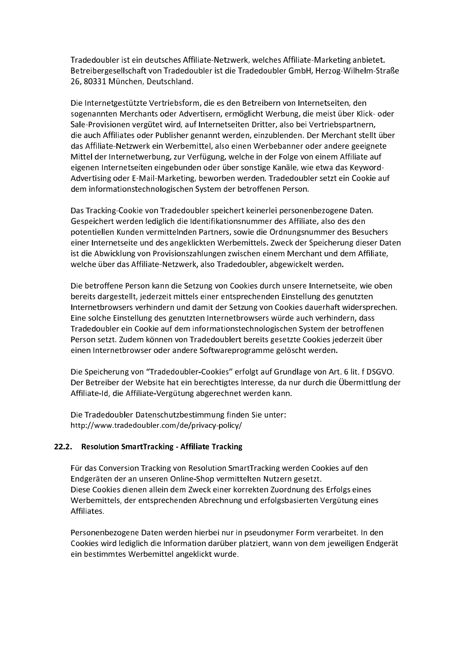Tradedoubler ist ein deutsches Affiliate-Netzwerk, welches Affiliate-Marketing anbietet. Betreibergesellschaft von Tradedoubler ist die Tradedoubler GmbH, Herzog-Wilhelm-Straße 26, 80331 München, Deutschland.

Die Internetgestützte Vertriebsform, die es den Betreibern von Internetseiten, den sogenannten Merchants oder Advertisern, ermöglicht Werbung, die meist über Klick- oder Sale-Provisionen vergütet wird, auf Internetseiten Dritter, also bei Vertriebspartnern, die auch Affiliates oder Publisher genannt werden, einzublenden. Der Merchant stellt über das Affiliate-Netzwerk ein Werbemittel, also einen Werbebanner oder andere geeignete Mittel der Internetwerbung, zur Verfügung, welche in der Folge von einem Affiliate auf eigenen Internetseiten eingebunden oder über sonstige Kanäle, wie etwa das Keyword-Advertising oder E-Mail-Marketing, beworben werden. Tradedoubler setzt ein Cookie auf dem informationstechnologischen System der betroffenen Person.

Das Tracking-Cookie von Tradedoubler speichert keinerlei personenbezogene Daten. Gespeichert werden lediglich die Identifikationsnummer des Affiliate, also des den potentiellen Kunden vermittelnden Partners, sowie die Ordnungsnummer des Besuchers einer Internetseite und des angeklickten Werbemittels. Zweck der Speicherung dieser Daten ist die Abwicklung von Provisionszahlungen zwischen einem Merchant und dem Affiliate, welche über das Affiliate-Netzwerk, also Tradedoubler, abgewickelt werden.

Die betroffene Person kann die Setzung von Cookies durch unsere Internetseite, wie oben bereits dargestellt, jederzeit mittels einer entsprechenden Einstellung des genutzten Internetbrowsers verhindern und damit der Setzung von Cookies dauerhaft widersprechen. Eine solche Einstellung des genutzten Internetbrowsers würde auch verhindern, dass Tradedoubler ein Cookie auf dem informationstechnologischen System der betroffenen Person setzt. Zudem können von Tradedoublert bereits gesetzte Cookies jederzeit über einen Internetbrowser oder andere Softwareprogramme gelöscht werden.

Die Speicherung von "Tradedoubler-Cookies" erfolgt auf Grundlage von Art. 6 lit. f DSGVO. Der Betreiber der Website hat ein berechtigtes Interesse, da nur durch die Übermittlung der Affiliate-Id, die Affiliate-Vergütung abgerechnet werden kann.

Die Tradedoubler Datenschutzbestimmung finden Sie unter: http://www.tradedoubler.com/de/privacy-policy/

# 22.2. Resolution SmartTracking - Affiliate Tracking

Für das Conversion Tracking von Resolution SmartTracking werden Cookies auf den Endgeräten der an unseren Online-Shop vermittelten Nutzern gesetzt. Diese Cookies dienen allein dem Zweck einer korrekten Zuordnung des Erfolgs eines Werbemittels, der entsprechenden Abrechnung und erfolgsbasierten Vergütung eines Affiliates.

Personenbezogene Daten werden hierbei nur in pseudonymer Form verarbeitet. In den Cookies wird lediglich die Information darüber platziert, wann von dem jeweiligen Endgerät ein bestimmtes Werbemittel angeklickt wurde.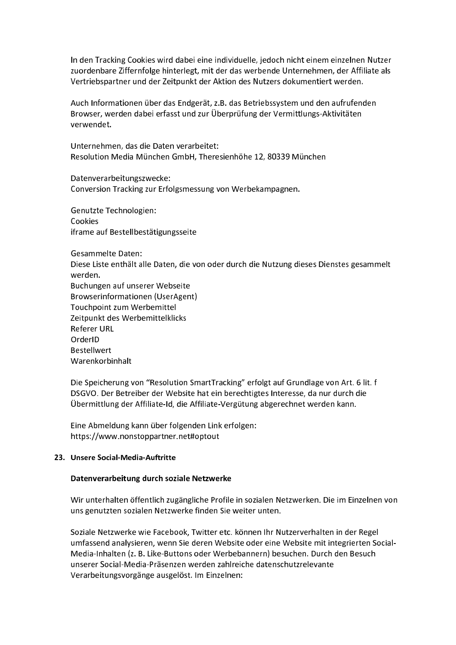In den Tracking Cookies wird dabei eine individuelle, jedoch nicht einem einzelnen Nutzer zuordenbare Ziffernfolge hinterlegt, mit der das werbende Unternehmen, der Affiliate als Vertriebspartner und der Zeitpunkt der Aktion des Nutzers dokumentiert werden.

Auch Informationen über das Endgerät, z.B. das Betriebssystem und den aufrufenden Browser, werden dabei erfasst und zur Überprüfung der Vermittlungs-Aktivitäten verwendet.

Unternehmen, das die Daten verarbeitet: Resolution Media München GmbH, Theresienhöhe 12, 80339 München

Datenverarbeitungszwecke: Conversion Tracking zur Erfolgsmessung von Werbekampagnen.

**Genutzte Technologien:** Cookies iframe auf Bestellbestätigungsseite

**Gesammelte Daten:** Diese Liste enthält alle Daten, die von oder durch die Nutzung dieses Dienstes gesammelt werden. Buchungen auf unserer Webseite Browserinformationen (UserAgent) Touchpoint zum Werbemittel Zeitpunkt des Werbemittelklicks **Referer URL** OrderID **Bestellwert** Warenkorbinhalt

Die Speicherung von "Resolution SmartTracking" erfolgt auf Grundlage von Art. 6 lit. f DSGVO. Der Betreiber der Website hat ein berechtigtes Interesse, da nur durch die Übermittlung der Affiliate-Id, die Affiliate-Vergütung abgerechnet werden kann.

Eine Abmeldung kann über folgenden Link erfolgen: https://www.nonstoppartner.net#optout

## 23. Unsere Social-Media-Auftritte

## Datenverarbeitung durch soziale Netzwerke

Wir unterhalten öffentlich zugängliche Profile in sozialen Netzwerken. Die im Einzelnen von uns genutzten sozialen Netzwerke finden Sie weiter unten.

Soziale Netzwerke wie Facebook, Twitter etc. können Ihr Nutzerverhalten in der Regel umfassend analysieren, wenn Sie deren Website oder eine Website mit integrierten Social-Media-Inhalten (z. B. Like-Buttons oder Werbebannern) besuchen. Durch den Besuch unserer Social-Media-Präsenzen werden zahlreiche datenschutzrelevante Verarbeitungsvorgänge ausgelöst. Im Einzelnen: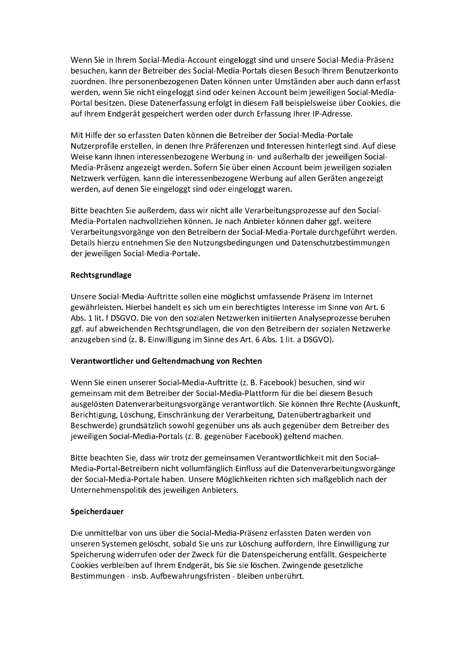Wenn Sie in Ihrem Social-Media-Account eingeloggt sind und unsere Social-Media-Präsenz besuchen, kann der Betreiber des Social-Media-Portals diesen Besuch Ihrem Benutzerkonto zuordnen. Ihre personenbezogenen Daten können unter Umständen aber auch dann erfasst werden, wenn Sie nicht eingeloggt sind oder keinen Account beim jeweiligen Social-Media-Portal besitzen. Diese Datenerfassung erfolgt in diesem Fall beispielsweise über Cookies, die auf Ihrem Endgerät gespeichert werden oder durch Erfassung Ihrer IP-Adresse.

Mit Hilfe der so erfassten Daten können die Betreiber der Social-Media-Portale Nutzerprofile erstellen, in denen Ihre Präferenzen und Interessen hinterlegt sind. Auf diese Weise kann Ihnen interessenbezogene Werbung in- und außerhalb der jeweiligen Social-Media-Präsenz angezeigt werden. Sofern Sie über einen Account beim jeweiligen sozialen Netzwerk verfügen, kann die interessenbezogene Werbung auf allen Geräten angezeigt werden, auf denen Sie eingeloggt sind oder eingeloggt waren.

Bitte beachten Sie außerdem, dass wir nicht alle Verarbeitungsprozesse auf den Social-Media-Portalen nachvollziehen können. Je nach Anbieter können daher ggf. weitere Verarbeitungsvorgänge von den Betreibern der Social-Media-Portale durchgeführt werden. Details hierzu entnehmen Sie den Nutzungsbedingungen und Datenschutzbestimmungen der jeweiligen Social-Media-Portale.

# Rechtsgrundlage

Unsere Social-Media-Auftritte sollen eine möglichst umfassende Präsenz im Internet gewährleisten. Hierbei handelt es sich um ein berechtigtes Interesse im Sinne von Art. 6 Abs. 1 lit. f DSGVO. Die von den sozialen Netzwerken initiierten Analyseprozesse beruhen ggf. auf abweichenden Rechtsgrundlagen, die von den Betreibern der sozialen Netzwerke anzugeben sind (z. B. Einwilligung im Sinne des Art. 6 Abs. 1 lit. a DSGVO).

# Verantwortlicher und Geltendmachung von Rechten

Wenn Sie einen unserer Social-Media-Auftritte (z. B. Facebook) besuchen, sind wir gemeinsam mit dem Betreiber der Social-Media-Plattform für die bei diesem Besuch ausgelösten Datenverarbeitungsvorgänge verantwortlich. Sie können Ihre Rechte (Auskunft, Berichtigung, Löschung, Einschränkung der Verarbeitung, Datenübertragbarkeit und Beschwerde) grundsätzlich sowohl gegenüber uns als auch gegenüber dem Betreiber des jeweiligen Social-Media-Portals (z. B. gegenüber Facebook) geltend machen.

Bitte beachten Sie, dass wir trotz der gemeinsamen Verantwortlichkeit mit den Social-Media-Portal-Betreibern nicht vollumfänglich Einfluss auf die Datenverarbeitungsvorgänge der Social-Media-Portale haben. Unsere Möglichkeiten richten sich maßgeblich nach der Unternehmenspolitik des jeweiligen Anbieters.

# Speicherdauer

Die unmittelbar von uns über die Social-Media-Präsenz erfassten Daten werden von unseren Systemen gelöscht, sobald Sie uns zur Löschung auffordern, Ihre Einwilligung zur Speicherung widerrufen oder der Zweck für die Datenspeicherung entfällt. Gespeicherte Cookies verbleiben auf Ihrem Endgerät, bis Sie sie löschen. Zwingende gesetzliche Bestimmungen - insb. Aufbewahrungsfristen - bleiben unberührt.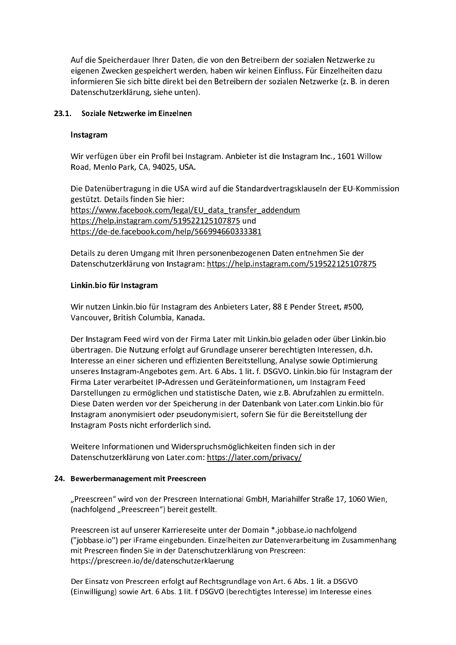Auf die Speicherdauer Ihrer Daten, die von den Betreibern der sozialen Netzwerke zu eigenen Zwecken gespeichert werden, haben wir keinen Einfluss. Für Einzelheiten dazu informieren Sie sich bitte direkt bei den Betreibern der sozialen Netzwerke (z. B. in deren Datenschutzerklärung, siehe unten).

# 23.1. Soziale Netzwerke im Einzelnen

# Instagram

Wir verfügen über ein Profil bei Instagram. Anbieter ist die Instagram Inc., 1601 Willow Road, Menlo Park, CA, 94025, USA.

Die Datenübertragung in die USA wird auf die Standardvertragsklauseln der EU-Kommission gestützt. Details finden Sie hier: https://www.facebook.com/legal/EU data transfer addendum https://help.instagram.com/519522125107875 und https://de-de.facebook.com/help/566994660333381

Details zu deren Umgang mit Ihren personenbezogenen Daten entnehmen Sie der Datenschutzerklärung von Instagram: https://help.instagram.com/519522125107875

# Linkin.bio für Instagram

Wir nutzen Linkin.bio für Instagram des Anbieters Later, 88 E Pender Street, #500, Vancouver, British Columbia, Kanada.

Der Instagram Feed wird von der Firma Later mit Linkin.bio geladen oder über Linkin.bio übertragen. Die Nutzung erfolgt auf Grundlage unserer berechtigten Interessen, d.h. Interesse an einer sicheren und effizienten Bereitstellung, Analyse sowie Optimierung unseres Instagram-Angebotes gem. Art. 6 Abs. 1 lit. f. DSGVO. Linkin. bio für Instagram der Firma Later verarbeitet IP-Adressen und Geräteinformationen, um Instagram Feed Darstellungen zu ermöglichen und statistische Daten, wie z.B. Abrufzahlen zu ermitteln. Diese Daten werden vor der Speicherung in der Datenbank von Later.com Linkin.bio für Instagram anonymisiert oder pseudonymisiert, sofern Sie für die Bereitstellung der Instagram Posts nicht erforderlich sind.

Weitere Informationen und Widerspruchsmöglichkeiten finden sich in der Datenschutzerklärung von Later.com: https://later.com/privacy/

## 24. Bewerbermanagement mit Preescreen

"Preescreen" wird von der Prescreen International GmbH, Mariahilfer Straße 17, 1060 Wien, (nachfolgend "Preescreen") bereit gestellt.

Preescreen ist auf unserer Karriereseite unter der Domain \*.jobbase.io nachfolgend ("jobbase.io") per iFrame eingebunden. Einzelheiten zur Datenverarbeitung im Zusammenhang mit Prescreen finden Sie in der Datenschutzerklärung von Prescreen: https://prescreen.io/de/datenschutzerklaerung

Der Einsatz von Prescreen erfolgt auf Rechtsgrundlage von Art. 6 Abs. 1 lit. a DSGVO (Einwilligung) sowie Art. 6 Abs. 1 lit. f DSGVO (berechtigtes Interesse) im Interesse eines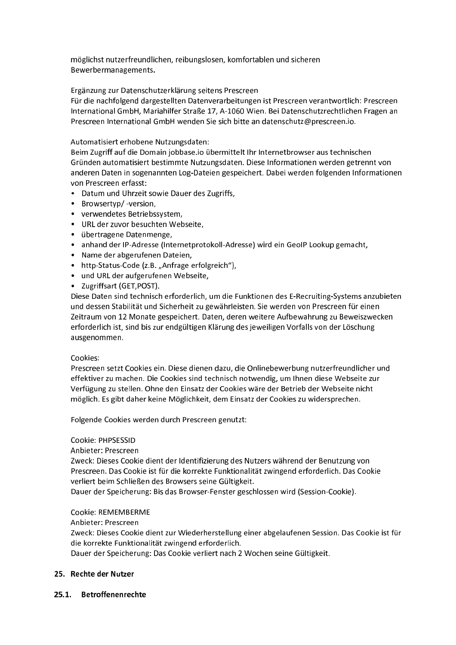möglichst nutzerfreundlichen, reibungslosen, komfortablen und sicheren Bewerbermanagements.

Ergänzung zur Datenschutzerklärung seitens Prescreen

Für die nachfolgend dargestellten Datenverarbeitungen ist Prescreen verantwortlich: Prescreen International GmbH, Mariahilfer Straße 17, A-1060 Wien. Bei Datenschutzrechtlichen Fragen an Prescreen International GmbH wenden Sie sich bitte an datenschutz@prescreen.io.

# Automatisiert erhobene Nutzungsdaten:

Beim Zugriff auf die Domain jobbase.io übermittelt Ihr Internetbrowser aus technischen Gründen automatisiert bestimmte Nutzungsdaten. Diese Informationen werden getrennt von anderen Daten in sogenannten Log-Dateien gespeichert. Dabei werden folgenden Informationen von Prescreen erfasst:

- Datum und Uhrzeit sowie Dauer des Zugriffs,
- Browsertyp/-version,
- verwendetes Betriebssystem,
- · URL der zuvor besuchten Webseite,
- übertragene Datenmenge,
- anhand der IP-Adresse (Internetprotokoll-Adresse) wird ein GeoIP Lookup gemacht,
- · Name der abgerufenen Dateien,
- http-Status-Code (z.B. "Anfrage erfolgreich"),
- und URL der aufgerufenen Webseite,
- Zugriffsart (GET, POST).

Diese Daten sind technisch erforderlich, um die Funktionen des E-Recruiting-Systems anzubieten und dessen Stabilität und Sicherheit zu gewährleisten. Sie werden von Prescreen für einen Zeitraum von 12 Monate gespeichert. Daten, deren weitere Aufbewahrung zu Beweiszwecken erforderlich ist, sind bis zur endgültigen Klärung des jeweiligen Vorfalls von der Löschung ausgenommen.

## Cookies:

Prescreen setzt Cookies ein. Diese dienen dazu, die Onlinebewerbung nutzerfreundlicher und effektiver zu machen. Die Cookies sind technisch notwendig, um Ihnen diese Webseite zur Verfügung zu stellen. Ohne den Einsatz der Cookies wäre der Betrieb der Webseite nicht möglich. Es gibt daher keine Möglichkeit, dem Einsatz der Cookies zu widersprechen.

Folgende Cookies werden durch Prescreen genutzt:

Cookie: PHPSESSID

Anbieter: Prescreen

Zweck: Dieses Cookie dient der Identifizierung des Nutzers während der Benutzung von Prescreen. Das Cookie ist für die korrekte Funktionalität zwingend erforderlich. Das Cookie verliert beim Schließen des Browsers seine Gültigkeit.

Dauer der Speicherung: Bis das Browser-Fenster geschlossen wird (Session-Cookie).

Cookie: REMEMBERME

Anbieter: Prescreen

Zweck: Dieses Cookie dient zur Wiederherstellung einer abgelaufenen Session. Das Cookie ist für die korrekte Funktionalität zwingend erforderlich.

Dauer der Speicherung: Das Cookie verliert nach 2 Wochen seine Gültigkeit.

## 25. Rechte der Nutzer

25.1. Betroffenenrechte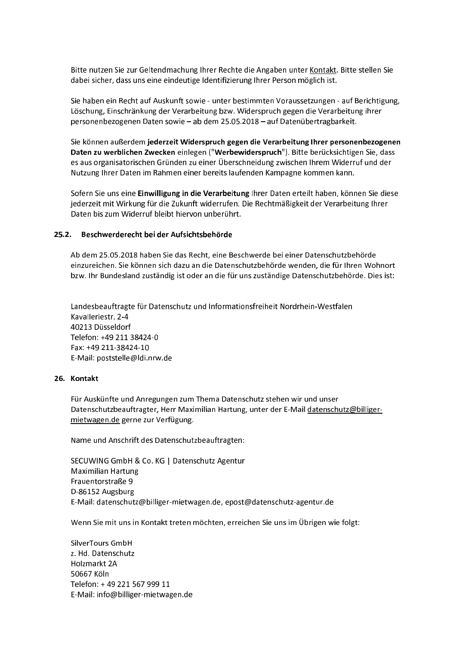Bitte nutzen Sie zur Geltendmachung Ihrer Rechte die Angaben unter Kontakt. Bitte stellen Sie dabei sicher, dass uns eine eindeutige Identifizierung Ihrer Person möglich ist.

Sie haben ein Recht auf Auskunft sowie - unter bestimmten Voraussetzungen - auf Berichtigung, Löschung, Einschränkung der Verarbeitung bzw. Widerspruch gegen die Verarbeitung ihrer personenbezogenen Daten sowie - ab dem 25.05.2018 - auf Datenübertragbarkeit.

Sie können außerdem jederzeit Widerspruch gegen die Verarbeitung Ihrer personenbezogenen Daten zu werblichen Zwecken einlegen ("Werbewiderspruch"). Bitte berücksichtigen Sie, dass es aus organisatorischen Gründen zu einer Überschneidung zwischen Ihrem Widerruf und der Nutzung Ihrer Daten im Rahmen einer bereits laufenden Kampagne kommen kann.

Sofern Sie uns eine Einwilligung in die Verarbeitung Ihrer Daten erteilt haben, können Sie diese jederzeit mit Wirkung für die Zukunft widerrufen. Die Rechtmäßigkeit der Verarbeitung Ihrer Daten bis zum Widerruf bleibt hiervon unberührt.

#### $25.2.$ Beschwerderecht bei der Aufsichtsbehörde

Ab dem 25.05.2018 haben Sie das Recht, eine Beschwerde bei einer Datenschutzbehörde einzureichen. Sie können sich dazu an die Datenschutzbehörde wenden, die für Ihren Wohnort bzw. Ihr Bundesland zuständig ist oder an die für uns zuständige Datenschutzbehörde. Dies ist:

Landesbeauftragte für Datenschutz und Informationsfreiheit Nordrhein-Westfalen Kavalleriestr, 2-4 40213 Düsseldorf Telefon: +49 211 38424-0 Fax: +49 211-38424-10 E-Mail: poststelle@ldi.nrw.de

## 26. Kontakt

Für Auskünfte und Anregungen zum Thema Datenschutz stehen wir und unser Datenschutzbeauftragter, Herr Maximilian Hartung, unter der E-Mail datenschutz@billigermietwagen.de gerne zur Verfügung.

Name und Anschrift des Datenschutzbeauftragten:

SECUWING GmbH & Co. KG | Datenschutz Agentur **Maximilian Hartung** Frauentorstraße 9 D-86152 Augsburg E-Mail: datenschutz@billiger-mietwagen.de, epost@datenschutz-agentur.de

Wenn Sie mit uns in Kontakt treten möchten, erreichen Sie uns im Übrigen wie folgt:

SilverTours GmbH z. Hd. Datenschutz Holzmarkt 2A 50667 Köln Telefon: + 49 221 567 999 11 E-Mail: info@billiger-mietwagen.de